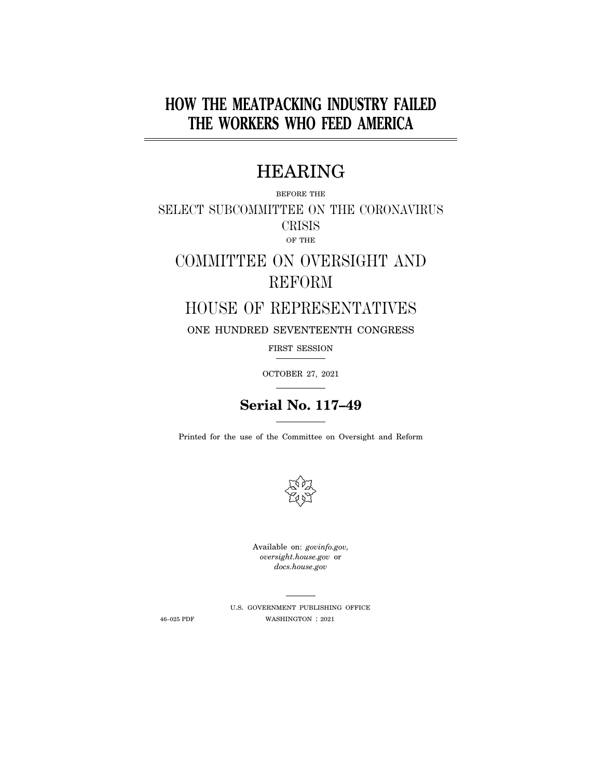# **HOW THE MEATPACKING INDUSTRY FAILED THE WORKERS WHO FEED AMERICA**

# HEARING

BEFORE THE SELECT SUBCOMMITTEE ON THE CORONAVIRUS CRISIS OF THE

# COMMITTEE ON OVERSIGHT AND REFORM

## HOUSE OF REPRESENTATIVES

ONE HUNDRED SEVENTEENTH CONGRESS

FIRST SESSION

OCTOBER 27, 2021

# **Serial No. 117–49**

Printed for the use of the Committee on Oversight and Reform



Available on: *govinfo.gov, oversight.house.gov* or *docs.house.gov* 

U.S. GOVERNMENT PUBLISHING OFFICE 46–025 PDF WASHINGTON : 2021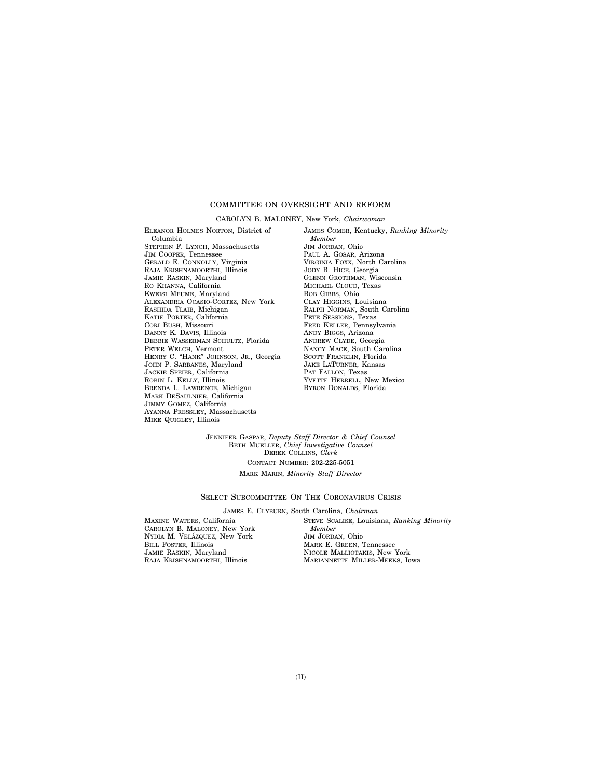### COMMITTEE ON OVERSIGHT AND REFORM

#### CAROLYN B. MALONEY, New York, *Chairwoman*

ELEANOR HOLMES NORTON, District of Columbia STEPHEN F. LYNCH, Massachusetts JIM COOPER, Tennessee GERALD E. CONNOLLY, Virginia RAJA KRISHNAMOORTHI, Illinois JAMIE RASKIN, Maryland RO KHANNA, California KWEISI MFUME, Maryland ALEXANDRIA OCASIO-CORTEZ, New York RASHIDA TLAIB, Michigan KATIE PORTER, California CORI BUSH, Missouri DANNY K. DAVIS, Illinois DEBBIE WASSERMAN SCHULTZ, Florida PETER WELCH, Vermont HENRY C. "HANK" JOHNSON, JR., Georgia JOHN P. SARBANES, Maryland JACKIE SPEIER, California ROBIN L. KELLY, Illinois BRENDA L. LAWRENCE, Michigan MARK DESAULNIER, California JIMMY GOMEZ, California AYANNA PRESSLEY, Massachusetts MIKE QUIGLEY, Illinois

JAMES COMER, Kentucky, *Ranking Minority Member*  JIM JORDAN, Ohio PAUL A. GOSAR, Arizona VIRGINIA FOXX, North Carolina JODY B. HICE, Georgia GLENN GROTHMAN, Wisconsin MICHAEL CLOUD, Texas BOB GIBBS, Ohio CLAY HIGGINS, Louisiana RALPH NORMAN, South Carolina PETE SESSIONS, Texas FRED KELLER, Pennsylvania ANDY BIGGS, Arizona ANDREW CLYDE, Georgia NANCY MACE, South Carolina SCOTT FRANKLIN, Florida JAKE LATURNER, Kansas PAT FALLON, Texas YVETTE HERRELL, New Mexico BYRON DONALDS, Florida

JENNIFER GASPAR, *Deputy Staff Director & Chief Counsel*  BETH MUELLER, *Chief Investigative Counsel*  DEREK COLLINS, *Clerk*  CONTACT NUMBER: 202-225-5051

MARK MARIN, *Minority Staff Director* 

#### SELECT SUBCOMMITTEE ON THE CORONAVIRUS CRISIS

JAMES E. CLYBURN, South Carolina, *Chairman* 

MAXINE WATERS, California CAROLYN B. MALONEY, New York NYDIA M. VELÁZQUEZ, New York BILL FOSTER, Illinois JAMIE RASKIN, Maryland RAJA KRISHNAMOORTHI, Illinois

STEVE SCALISE, Louisiana, *Ranking Minority Member*  JIM JORDAN, Ohio MARK E. GREEN, Tennessee NICOLE MALLIOTAKIS, New York MARIANNETTE MILLER-MEEKS, Iowa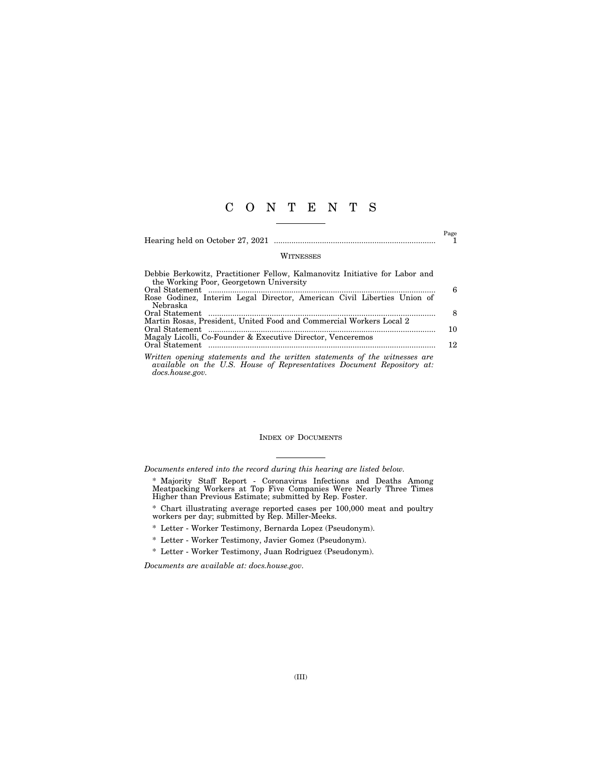### C O N T E N T S

### WITNESSES

Page

| Debbie Berkowitz, Practitioner Fellow, Kalmanovitz Initiative for Labor and |     |
|-----------------------------------------------------------------------------|-----|
| the Working Poor, Georgetown University                                     |     |
|                                                                             | 6   |
| Rose Godinez, Interim Legal Director, American Civil Liberties Union of     |     |
| Nebraska                                                                    |     |
|                                                                             |     |
| Martin Rosas, President, United Food and Commercial Workers Local 2         |     |
|                                                                             | 10  |
| Magaly Licolli, Co-Founder & Executive Director, Venceremos                 |     |
|                                                                             | 12. |
| Written opening statements and the written statements of the witnesses are  |     |

*available on the U.S. House of Representatives Document Repository at: docs.house.gov.* 

### INDEX OF DOCUMENTS

*Documents entered into the record during this hearing are listed below.* 

- \* Majority Staff Report Coronavirus Infections and Deaths Among Meatpacking Workers at Top Five Companies Were Nearly Three Times Higher than Previous Estimate; submitted by Rep. Foster.
- \* Chart illustrating average reported cases per 100,000 meat and poultry workers per day; submitted by Rep. Miller-Meeks.
- $^\ast\,$  Letter Worker Testimony, Bernarda Lopez (Pseudonym).
- \* Letter Worker Testimony, Javier Gomez (Pseudonym).
- \* Letter Worker Testimony, Juan Rodriguez (Pseudonym).

*Documents are available at: docs.house.gov.*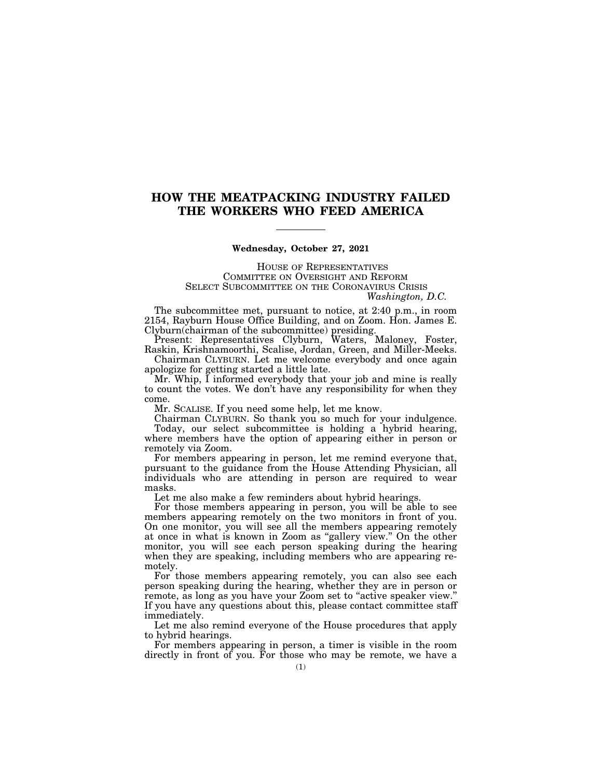### **HOW THE MEATPACKING INDUSTRY FAILED THE WORKERS WHO FEED AMERICA**

### **Wednesday, October 27, 2021**

HOUSE OF REPRESENTATIVES COMMITTEE ON OVERSIGHT AND REFORM SELECT SUBCOMMITTEE ON THE CORONAVIRUS CRISIS *Washington, D.C.* 

The subcommittee met, pursuant to notice, at 2:40 p.m., in room 2154, Rayburn House Office Building, and on Zoom. Hon. James E. Clyburn(chairman of the subcommittee) presiding.

Present: Representatives Clyburn, Waters, Maloney, Foster, Raskin, Krishnamoorthi, Scalise, Jordan, Green, and Miller-Meeks.

Chairman CLYBURN. Let me welcome everybody and once again apologize for getting started a little late.

Mr. Whip, I informed everybody that your job and mine is really to count the votes. We don't have any responsibility for when they come.

Mr. SCALISE. If you need some help, let me know.

Chairman CLYBURN. So thank you so much for your indulgence.

Today, our select subcommittée is holding a hybrid hearing, where members have the option of appearing either in person or remotely via Zoom.

For members appearing in person, let me remind everyone that, pursuant to the guidance from the House Attending Physician, all individuals who are attending in person are required to wear masks.

Let me also make a few reminders about hybrid hearings.

For those members appearing in person, you will be able to see members appearing remotely on the two monitors in front of you. On one monitor, you will see all the members appearing remotely at once in what is known in Zoom as "gallery view." On the other monitor, you will see each person speaking during the hearing when they are speaking, including members who are appearing remotely.

For those members appearing remotely, you can also see each person speaking during the hearing, whether they are in person or remote, as long as you have your Zoom set to "active speaker view." If you have any questions about this, please contact committee staff immediately.

Let me also remind everyone of the House procedures that apply to hybrid hearings.

For members appearing in person, a timer is visible in the room directly in front of you. For those who may be remote, we have a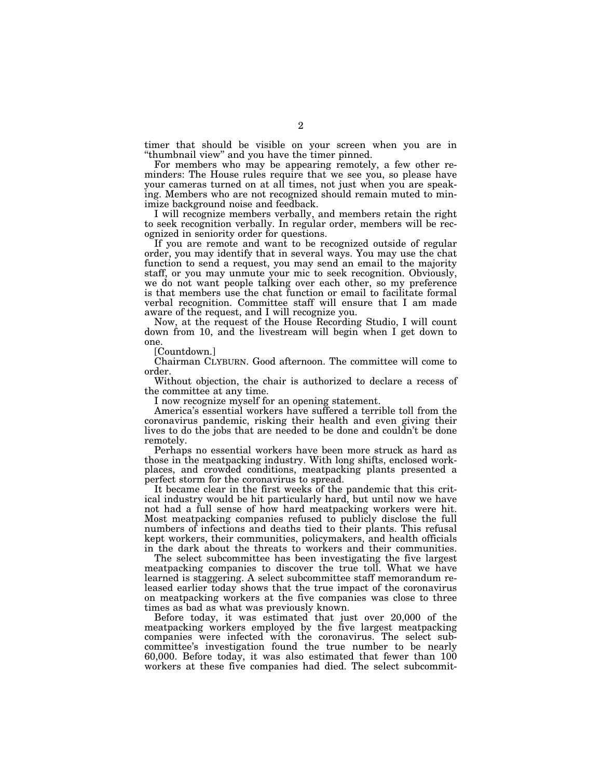timer that should be visible on your screen when you are in ''thumbnail view'' and you have the timer pinned.

For members who may be appearing remotely, a few other reminders: The House rules require that we see you, so please have your cameras turned on at all times, not just when you are speaking. Members who are not recognized should remain muted to minimize background noise and feedback.

I will recognize members verbally, and members retain the right to seek recognition verbally. In regular order, members will be recognized in seniority order for questions.

If you are remote and want to be recognized outside of regular order, you may identify that in several ways. You may use the chat function to send a request, you may send an email to the majority staff, or you may unmute your mic to seek recognition. Obviously, we do not want people talking over each other, so my preference is that members use the chat function or email to facilitate formal verbal recognition. Committee staff will ensure that I am made aware of the request, and I will recognize you.

Now, at the request of the House Recording Studio, I will count down from 10, and the livestream will begin when I get down to one.

[Countdown.]

Chairman CLYBURN. Good afternoon. The committee will come to order.

Without objection, the chair is authorized to declare a recess of the committee at any time.

I now recognize myself for an opening statement.

America's essential workers have suffered a terrible toll from the coronavirus pandemic, risking their health and even giving their lives to do the jobs that are needed to be done and couldn't be done remotely.

Perhaps no essential workers have been more struck as hard as those in the meatpacking industry. With long shifts, enclosed workplaces, and crowded conditions, meatpacking plants presented a perfect storm for the coronavirus to spread.

It became clear in the first weeks of the pandemic that this critical industry would be hit particularly hard, but until now we have not had a full sense of how hard meatpacking workers were hit. Most meatpacking companies refused to publicly disclose the full numbers of infections and deaths tied to their plants. This refusal kept workers, their communities, policymakers, and health officials in the dark about the threats to workers and their communities.

The select subcommittee has been investigating the five largest meatpacking companies to discover the true toll. What we have learned is staggering. A select subcommittee staff memorandum released earlier today shows that the true impact of the coronavirus on meatpacking workers at the five companies was close to three times as bad as what was previously known.

Before today, it was estimated that just over 20,000 of the meatpacking workers employed by the five largest meatpacking companies were infected with the coronavirus. The select subcommittee's investigation found the true number to be nearly 60,000. Before today, it was also estimated that fewer than  $100$ workers at these five companies had died. The select subcommit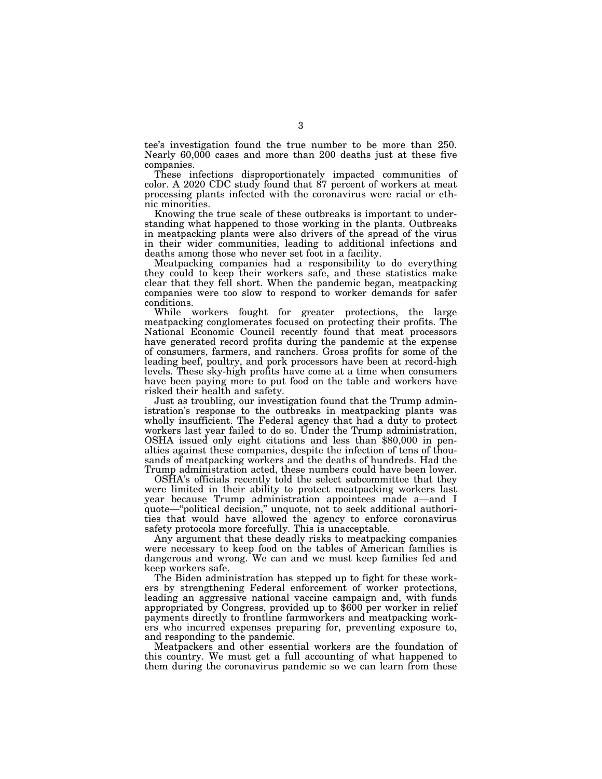tee's investigation found the true number to be more than 250. Nearly 60,000 cases and more than 200 deaths just at these five companies.

These infections disproportionately impacted communities of color. A 2020 CDC study found that 87 percent of workers at meat processing plants infected with the coronavirus were racial or ethnic minorities.

Knowing the true scale of these outbreaks is important to understanding what happened to those working in the plants. Outbreaks in meatpacking plants were also drivers of the spread of the virus in their wider communities, leading to additional infections and deaths among those who never set foot in a facility.

Meatpacking companies had a responsibility to do everything they could to keep their workers safe, and these statistics make clear that they fell short. When the pandemic began, meatpacking companies were too slow to respond to worker demands for safer conditions.

While workers fought for greater protections, the large meatpacking conglomerates focused on protecting their profits. The National Economic Council recently found that meat processors have generated record profits during the pandemic at the expense of consumers, farmers, and ranchers. Gross profits for some of the leading beef, poultry, and pork processors have been at record-high levels. These sky-high profits have come at a time when consumers have been paying more to put food on the table and workers have risked their health and safety.

Just as troubling, our investigation found that the Trump administration's response to the outbreaks in meatpacking plants was wholly insufficient. The Federal agency that had a duty to protect workers last year failed to do so. Under the Trump administration, OSHA issued only eight citations and less than \$80,000 in penalties against these companies, despite the infection of tens of thousands of meatpacking workers and the deaths of hundreds. Had the Trump administration acted, these numbers could have been lower.

OSHA's officials recently told the select subcommittee that they were limited in their ability to protect meatpacking workers last year because Trump administration appointees made a—and I quote—''political decision,'' unquote, not to seek additional authorities that would have allowed the agency to enforce coronavirus safety protocols more forcefully. This is unacceptable.

Any argument that these deadly risks to meatpacking companies were necessary to keep food on the tables of American families is dangerous and wrong. We can and we must keep families fed and keep workers safe.

The Biden administration has stepped up to fight for these workers by strengthening Federal enforcement of worker protections, leading an aggressive national vaccine campaign and, with funds appropriated by Congress, provided up to \$600 per worker in relief payments directly to frontline farmworkers and meatpacking workers who incurred expenses preparing for, preventing exposure to, and responding to the pandemic.

Meatpackers and other essential workers are the foundation of this country. We must get a full accounting of what happened to them during the coronavirus pandemic so we can learn from these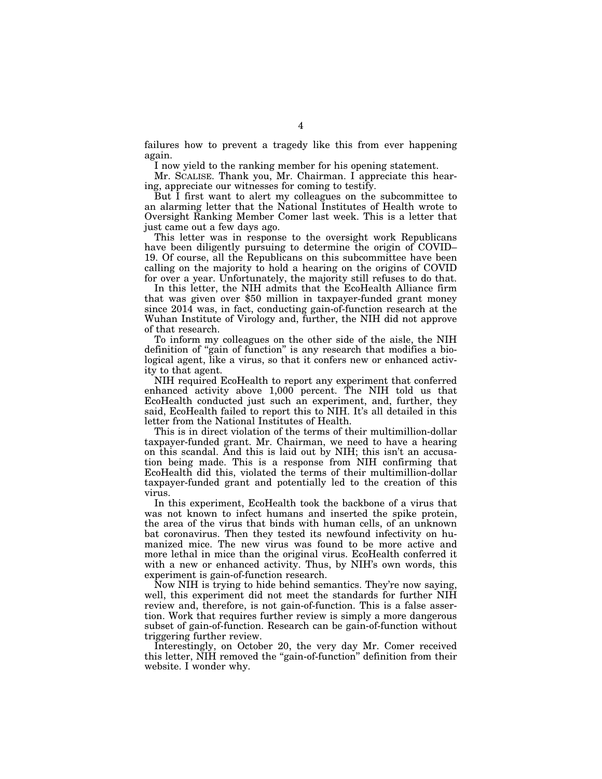failures how to prevent a tragedy like this from ever happening again.

I now yield to the ranking member for his opening statement.

Mr. SCALISE. Thank you, Mr. Chairman. I appreciate this hearing, appreciate our witnesses for coming to testify.

But I first want to alert my colleagues on the subcommittee to an alarming letter that the National Institutes of Health wrote to Oversight Ranking Member Comer last week. This is a letter that just came out a few days ago.

This letter was in response to the oversight work Republicans have been diligently pursuing to determine the origin of COVID– 19. Of course, all the Republicans on this subcommittee have been calling on the majority to hold a hearing on the origins of COVID for over a year. Unfortunately, the majority still refuses to do that.

In this letter, the NIH admits that the EcoHealth Alliance firm that was given over \$50 million in taxpayer-funded grant money since 2014 was, in fact, conducting gain-of-function research at the Wuhan Institute of Virology and, further, the NIH did not approve of that research.

To inform my colleagues on the other side of the aisle, the NIH definition of ''gain of function'' is any research that modifies a biological agent, like a virus, so that it confers new or enhanced activity to that agent.

NIH required EcoHealth to report any experiment that conferred enhanced activity above 1,000 percent. The NIH told us that EcoHealth conducted just such an experiment, and, further, they said, EcoHealth failed to report this to NIH. It's all detailed in this letter from the National Institutes of Health.

This is in direct violation of the terms of their multimillion-dollar taxpayer-funded grant. Mr. Chairman, we need to have a hearing on this scandal. And this is laid out by NIH; this isn't an accusation being made. This is a response from NIH confirming that EcoHealth did this, violated the terms of their multimillion-dollar taxpayer-funded grant and potentially led to the creation of this virus.

In this experiment, EcoHealth took the backbone of a virus that was not known to infect humans and inserted the spike protein, the area of the virus that binds with human cells, of an unknown bat coronavirus. Then they tested its newfound infectivity on humanized mice. The new virus was found to be more active and more lethal in mice than the original virus. EcoHealth conferred it with a new or enhanced activity. Thus, by NIH's own words, this experiment is gain-of-function research.

Now NIH is trying to hide behind semantics. They're now saying, well, this experiment did not meet the standards for further NIH review and, therefore, is not gain-of-function. This is a false assertion. Work that requires further review is simply a more dangerous subset of gain-of-function. Research can be gain-of-function without triggering further review.

Interestingly, on October 20, the very day Mr. Comer received this letter, NIH removed the ''gain-of-function'' definition from their website. I wonder why.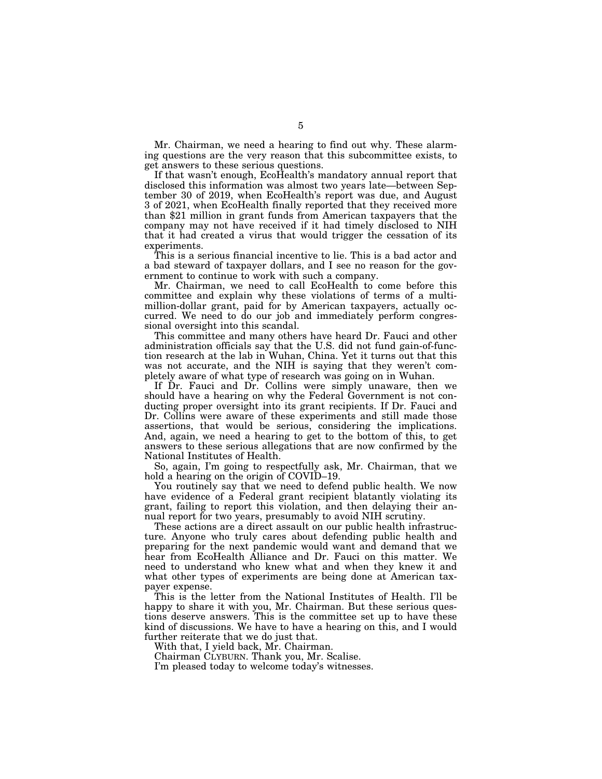Mr. Chairman, we need a hearing to find out why. These alarming questions are the very reason that this subcommittee exists, to get answers to these serious questions.

If that wasn't enough, EcoHealth's mandatory annual report that disclosed this information was almost two years late—between September 30 of 2019, when EcoHealth's report was due, and August 3 of 2021, when EcoHealth finally reported that they received more than \$21 million in grant funds from American taxpayers that the company may not have received if it had timely disclosed to NIH that it had created a virus that would trigger the cessation of its experiments.

This is a serious financial incentive to lie. This is a bad actor and a bad steward of taxpayer dollars, and I see no reason for the government to continue to work with such a company.

Mr. Chairman, we need to call EcoHealth to come before this committee and explain why these violations of terms of a multimillion-dollar grant, paid for by American taxpayers, actually occurred. We need to do our job and immediately perform congressional oversight into this scandal.

This committee and many others have heard Dr. Fauci and other administration officials say that the U.S. did not fund gain-of-function research at the lab in Wuhan, China. Yet it turns out that this was not accurate, and the NIH is saying that they weren't completely aware of what type of research was going on in Wuhan.

If Dr. Fauci and Dr. Collins were simply unaware, then we should have a hearing on why the Federal Government is not conducting proper oversight into its grant recipients. If Dr. Fauci and Dr. Collins were aware of these experiments and still made those assertions, that would be serious, considering the implications. And, again, we need a hearing to get to the bottom of this, to get answers to these serious allegations that are now confirmed by the National Institutes of Health.

So, again, I'm going to respectfully ask, Mr. Chairman, that we hold a hearing on the origin of COVID–19.

You routinely say that we need to defend public health. We now have evidence of a Federal grant recipient blatantly violating its grant, failing to report this violation, and then delaying their annual report for two years, presumably to avoid NIH scrutiny.

These actions are a direct assault on our public health infrastructure. Anyone who truly cares about defending public health and preparing for the next pandemic would want and demand that we hear from EcoHealth Alliance and Dr. Fauci on this matter. We need to understand who knew what and when they knew it and what other types of experiments are being done at American taxpayer expense.

This is the letter from the National Institutes of Health. I'll be happy to share it with you, Mr. Chairman. But these serious questions deserve answers. This is the committee set up to have these kind of discussions. We have to have a hearing on this, and I would further reiterate that we do just that.

With that, I yield back, Mr. Chairman.

Chairman CLYBURN. Thank you, Mr. Scalise.

I'm pleased today to welcome today's witnesses.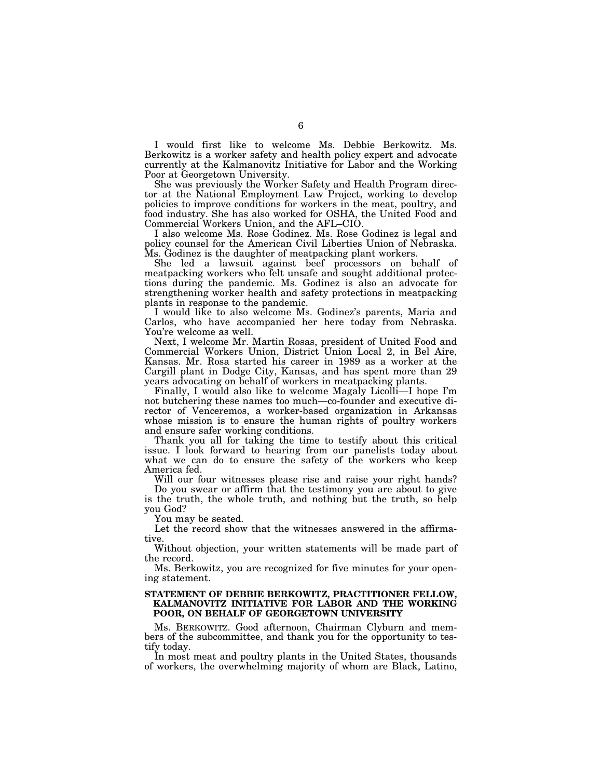I would first like to welcome Ms. Debbie Berkowitz. Ms. Berkowitz is a worker safety and health policy expert and advocate currently at the Kalmanovitz Initiative for Labor and the Working Poor at Georgetown University.

She was previously the Worker Safety and Health Program director at the National Employment Law Project, working to develop policies to improve conditions for workers in the meat, poultry, and food industry. She has also worked for OSHA, the United Food and Commercial Workers Union, and the AFL–CIO.

I also welcome Ms. Rose Godinez. Ms. Rose Godinez is legal and policy counsel for the American Civil Liberties Union of Nebraska. Ms. Godinez is the daughter of meatpacking plant workers.

She led a lawsuit against beef processors on behalf of meatpacking workers who felt unsafe and sought additional protections during the pandemic. Ms. Godinez is also an advocate for strengthening worker health and safety protections in meatpacking plants in response to the pandemic.

I would like to also welcome Ms. Godinez's parents, Maria and Carlos, who have accompanied her here today from Nebraska. You're welcome as well.

Next, I welcome Mr. Martin Rosas, president of United Food and Commercial Workers Union, District Union Local 2, in Bel Aire, Kansas. Mr. Rosa started his career in 1989 as a worker at the Cargill plant in Dodge City, Kansas, and has spent more than 29 years advocating on behalf of workers in meatpacking plants.

Finally, I would also like to welcome Magaly Licolli—I hope I'm not butchering these names too much—co-founder and executive director of Venceremos, a worker-based organization in Arkansas whose mission is to ensure the human rights of poultry workers and ensure safer working conditions.

Thank you all for taking the time to testify about this critical issue. I look forward to hearing from our panelists today about what we can do to ensure the safety of the workers who keep America fed.

Will our four witnesses please rise and raise your right hands?

Do you swear or affirm that the testimony you are about to give is the truth, the whole truth, and nothing but the truth, so help you God?

You may be seated.

Let the record show that the witnesses answered in the affirmative

Without objection, your written statements will be made part of the record.

Ms. Berkowitz, you are recognized for five minutes for your opening statement.

### **STATEMENT OF DEBBIE BERKOWITZ, PRACTITIONER FELLOW, KALMANOVITZ INITIATIVE FOR LABOR AND THE WORKING POOR, ON BEHALF OF GEORGETOWN UNIVERSITY**

Ms. BERKOWITZ. Good afternoon, Chairman Clyburn and members of the subcommittee, and thank you for the opportunity to testify today.

In most meat and poultry plants in the United States, thousands of workers, the overwhelming majority of whom are Black, Latino,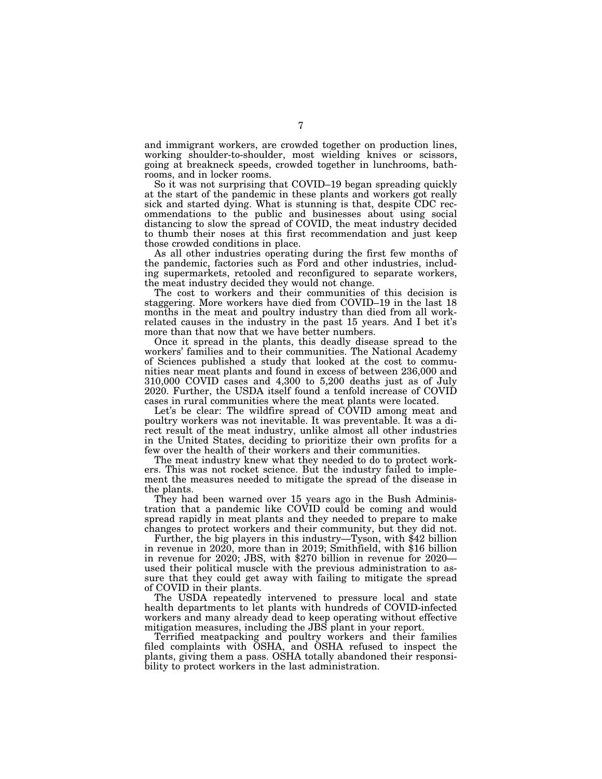and immigrant workers, are crowded together on production lines, working shoulder-to-shoulder, most wielding knives or scissors, going at breakneck speeds, crowded together in lunchrooms, bathrooms, and in locker rooms.

So it was not surprising that COVID–19 began spreading quickly at the start of the pandemic in these plants and workers got really sick and started dying. What is stunning is that, despite CDC recommendations to the public and businesses about using social distancing to slow the spread of COVID, the meat industry decided to thumb their noses at this first recommendation and just keep those crowded conditions in place.

As all other industries operating during the first few months of the pandemic, factories such as Ford and other industries, including supermarkets, retooled and reconfigured to separate workers, the meat industry decided they would not change.

The cost to workers and their communities of this decision is staggering. More workers have died from COVID–19 in the last 18 months in the meat and poultry industry than died from all workrelated causes in the industry in the past 15 years. And I bet it's more than that now that we have better numbers.

Once it spread in the plants, this deadly disease spread to the workers' families and to their communities. The National Academy of Sciences published a study that looked at the cost to communities near meat plants and found in excess of between 236,000 and 310,000 COVID cases and 4,300 to 5,200 deaths just as of July 2020. Further, the USDA itself found a tenfold increase of COVID cases in rural communities where the meat plants were located.

Let's be clear: The wildfire spread of COVID among meat and poultry workers was not inevitable. It was preventable. It was a direct result of the meat industry, unlike almost all other industries in the United States, deciding to prioritize their own profits for a few over the health of their workers and their communities.

The meat industry knew what they needed to do to protect workers. This was not rocket science. But the industry failed to implement the measures needed to mitigate the spread of the disease in the plants.

They had been warned over 15 years ago in the Bush Administration that a pandemic like COVID could be coming and would spread rapidly in meat plants and they needed to prepare to make changes to protect workers and their community, but they did not.

Further, the big players in this industry—Tyson, with \$42 billion in revenue in 2020, more than in 2019; Smithfield, with \$16 billion in revenue for 2020; JBS, with \$270 billion in revenue for 2020 used their political muscle with the previous administration to assure that they could get away with failing to mitigate the spread of COVID in their plants.

The USDA repeatedly intervened to pressure local and state health departments to let plants with hundreds of COVID-infected workers and many already dead to keep operating without effective mitigation measures, including the JBS plant in your report.

Terrified meatpacking and poultry workers and their families filed complaints with OSHA, and OSHA refused to inspect the plants, giving them a pass. OSHA totally abandoned their responsibility to protect workers in the last administration.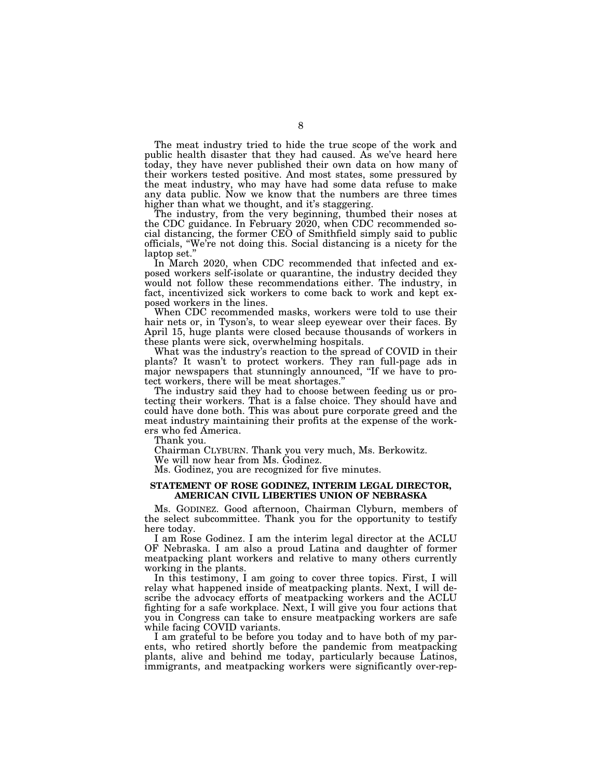The meat industry tried to hide the true scope of the work and public health disaster that they had caused. As we've heard here today, they have never published their own data on how many of their workers tested positive. And most states, some pressured by the meat industry, who may have had some data refuse to make any data public. Now we know that the numbers are three times higher than what we thought, and it's staggering.

The industry, from the very beginning, thumbed their noses at the CDC guidance. In February 2020, when CDC recommended social distancing, the former CEO of Smithfield simply said to public officials, ''We're not doing this. Social distancing is a nicety for the laptop set.''

In March 2020, when CDC recommended that infected and exposed workers self-isolate or quarantine, the industry decided they would not follow these recommendations either. The industry, in fact, incentivized sick workers to come back to work and kept exposed workers in the lines.

When CDC recommended masks, workers were told to use their hair nets or, in Tyson's, to wear sleep eyewear over their faces. By April 15, huge plants were closed because thousands of workers in these plants were sick, overwhelming hospitals.

What was the industry's reaction to the spread of COVID in their plants? It wasn't to protect workers. They ran full-page ads in major newspapers that stunningly announced, ''If we have to protect workers, there will be meat shortages.''

The industry said they had to choose between feeding us or protecting their workers. That is a false choice. They should have and could have done both. This was about pure corporate greed and the meat industry maintaining their profits at the expense of the workers who fed America.

Thank you.

Chairman CLYBURN. Thank you very much, Ms. Berkowitz.

We will now hear from Ms. Godinez.

Ms. Godinez, you are recognized for five minutes.

### **STATEMENT OF ROSE GODINEZ, INTERIM LEGAL DIRECTOR, AMERICAN CIVIL LIBERTIES UNION OF NEBRASKA**

Ms. GODINEZ. Good afternoon, Chairman Clyburn, members of the select subcommittee. Thank you for the opportunity to testify here today.

I am Rose Godinez. I am the interim legal director at the ACLU OF Nebraska. I am also a proud Latina and daughter of former meatpacking plant workers and relative to many others currently working in the plants.

In this testimony, I am going to cover three topics. First, I will relay what happened inside of meatpacking plants. Next, I will describe the advocacy efforts of meatpacking workers and the ACLU fighting for a safe workplace. Next, I will give you four actions that you in Congress can take to ensure meatpacking workers are safe while facing COVID variants.

I am grateful to be before you today and to have both of my parents, who retired shortly before the pandemic from meatpacking plants, alive and behind me today, particularly because Latinos, immigrants, and meatpacking workers were significantly over-rep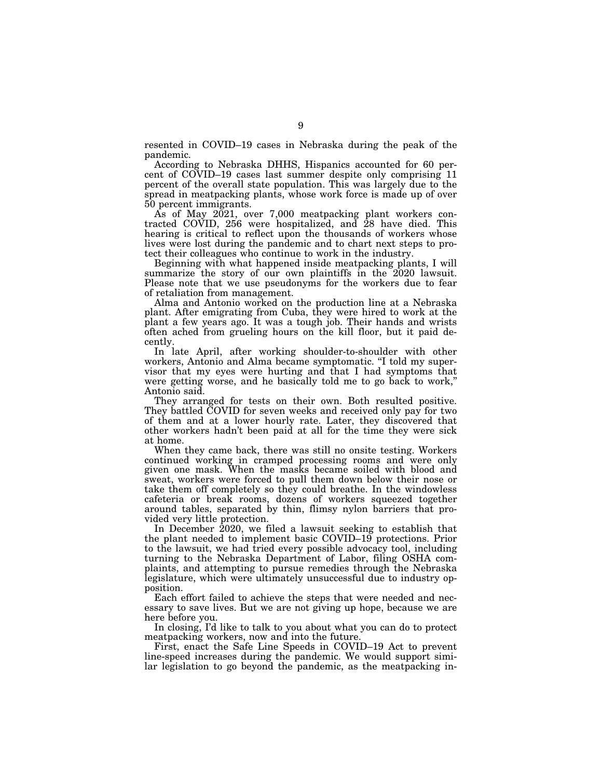resented in COVID–19 cases in Nebraska during the peak of the pandemic.

According to Nebraska DHHS, Hispanics accounted for 60 percent of COVID–19 cases last summer despite only comprising 11 percent of the overall state population. This was largely due to the spread in meatpacking plants, whose work force is made up of over 50 percent immigrants.

As of May 2021, over 7,000 meatpacking plant workers contracted COVID, 256 were hospitalized, and 28 have died. This hearing is critical to reflect upon the thousands of workers whose lives were lost during the pandemic and to chart next steps to protect their colleagues who continue to work in the industry.

Beginning with what happened inside meatpacking plants, I will summarize the story of our own plaintiffs in the 2020 lawsuit. Please note that we use pseudonyms for the workers due to fear of retaliation from management.

Alma and Antonio worked on the production line at a Nebraska plant. After emigrating from Cuba, they were hired to work at the plant a few years ago. It was a tough job. Their hands and wrists often ached from grueling hours on the kill floor, but it paid decently.

In late April, after working shoulder-to-shoulder with other workers, Antonio and Alma became symptomatic. "I told my supervisor that my eyes were hurting and that I had symptoms that were getting worse, and he basically told me to go back to work,'' Antonio said.

They arranged for tests on their own. Both resulted positive. They battled COVID for seven weeks and received only pay for two of them and at a lower hourly rate. Later, they discovered that other workers hadn't been paid at all for the time they were sick at home.

When they came back, there was still no onsite testing. Workers continued working in cramped processing rooms and were only given one mask. When the masks became soiled with blood and sweat, workers were forced to pull them down below their nose or take them off completely so they could breathe. In the windowless cafeteria or break rooms, dozens of workers squeezed together around tables, separated by thin, flimsy nylon barriers that provided very little protection.

In December 2020, we filed a lawsuit seeking to establish that the plant needed to implement basic COVID–19 protections. Prior to the lawsuit, we had tried every possible advocacy tool, including turning to the Nebraska Department of Labor, filing OSHA complaints, and attempting to pursue remedies through the Nebraska legislature, which were ultimately unsuccessful due to industry opposition.

Each effort failed to achieve the steps that were needed and necessary to save lives. But we are not giving up hope, because we are here before you.

In closing, I'd like to talk to you about what you can do to protect meatpacking workers, now and into the future.

First, enact the Safe Line Speeds in COVID–19 Act to prevent line-speed increases during the pandemic. We would support similar legislation to go beyond the pandemic, as the meatpacking in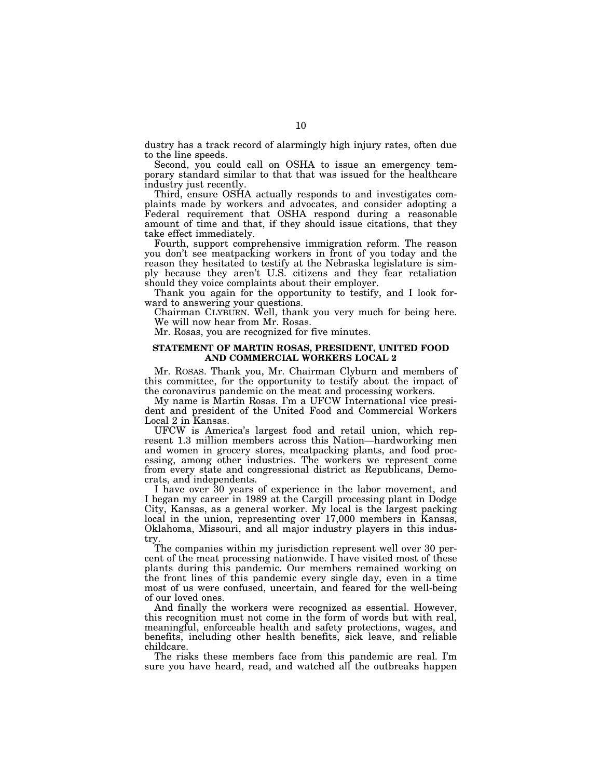dustry has a track record of alarmingly high injury rates, often due to the line speeds.

Second, you could call on OSHA to issue an emergency temporary standard similar to that that was issued for the healthcare industry just recently.

Third, ensure OSHA actually responds to and investigates complaints made by workers and advocates, and consider adopting a Federal requirement that OSHA respond during a reasonable amount of time and that, if they should issue citations, that they take effect immediately.

Fourth, support comprehensive immigration reform. The reason you don't see meatpacking workers in front of you today and the reason they hesitated to testify at the Nebraska legislature is simply because they aren't U.S. citizens and they fear retaliation should they voice complaints about their employer.

Thank you again for the opportunity to testify, and I look forward to answering your questions.

Chairman CLYBURN. Well, thank you very much for being here. We will now hear from Mr. Rosas.

Mr. Rosas, you are recognized for five minutes.

#### **STATEMENT OF MARTIN ROSAS, PRESIDENT, UNITED FOOD AND COMMERCIAL WORKERS LOCAL 2**

Mr. ROSAS. Thank you, Mr. Chairman Clyburn and members of this committee, for the opportunity to testify about the impact of the coronavirus pandemic on the meat and processing workers.

My name is Martin Rosas. I'm a UFCW International vice president and president of the United Food and Commercial Workers Local 2 in Kansas.

UFCW is America's largest food and retail union, which represent 1.3 million members across this Nation—hardworking men and women in grocery stores, meatpacking plants, and food processing, among other industries. The workers we represent come from every state and congressional district as Republicans, Democrats, and independents.

I have over 30 years of experience in the labor movement, and I began my career in 1989 at the Cargill processing plant in Dodge City, Kansas, as a general worker. My local is the largest packing local in the union, representing over 17,000 members in Kansas, Oklahoma, Missouri, and all major industry players in this industry.

The companies within my jurisdiction represent well over 30 percent of the meat processing nationwide. I have visited most of these plants during this pandemic. Our members remained working on the front lines of this pandemic every single day, even in a time most of us were confused, uncertain, and feared for the well-being of our loved ones.

And finally the workers were recognized as essential. However, this recognition must not come in the form of words but with real, meaningful, enforceable health and safety protections, wages, and benefits, including other health benefits, sick leave, and reliable childcare.

The risks these members face from this pandemic are real. I'm sure you have heard, read, and watched all the outbreaks happen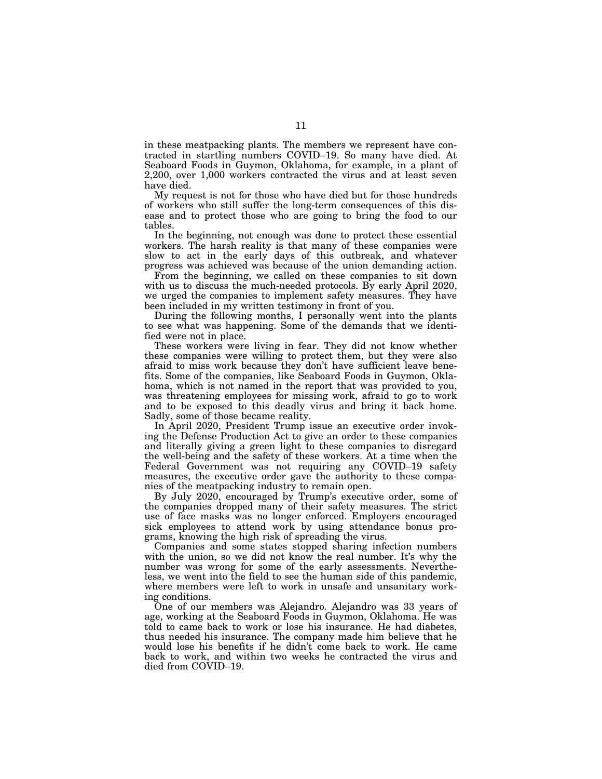in these meatpacking plants. The members we represent have contracted in startling numbers COVID–19. So many have died. At Seaboard Foods in Guymon, Oklahoma, for example, in a plant of 2,200, over 1,000 workers contracted the virus and at least seven have died.

My request is not for those who have died but for those hundreds of workers who still suffer the long-term consequences of this disease and to protect those who are going to bring the food to our tables.

In the beginning, not enough was done to protect these essential workers. The harsh reality is that many of these companies were slow to act in the early days of this outbreak, and whatever progress was achieved was because of the union demanding action.

From the beginning, we called on these companies to sit down with us to discuss the much-needed protocols. By early April 2020, we urged the companies to implement safety measures. They have been included in my written testimony in front of you.

During the following months, I personally went into the plants to see what was happening. Some of the demands that we identified were not in place.

These workers were living in fear. They did not know whether these companies were willing to protect them, but they were also afraid to miss work because they don't have sufficient leave benefits. Some of the companies, like Seaboard Foods in Guymon, Oklahoma, which is not named in the report that was provided to you, was threatening employees for missing work, afraid to go to work and to be exposed to this deadly virus and bring it back home. Sadly, some of those became reality.

In April 2020, President Trump issue an executive order invoking the Defense Production Act to give an order to these companies and literally giving a green light to these companies to disregard the well-being and the safety of these workers. At a time when the Federal Government was not requiring any COVID–19 safety measures, the executive order gave the authority to these companies of the meatpacking industry to remain open.

By July 2020, encouraged by Trump's executive order, some of the companies dropped many of their safety measures. The strict use of face masks was no longer enforced. Employers encouraged sick employees to attend work by using attendance bonus programs, knowing the high risk of spreading the virus.

Companies and some states stopped sharing infection numbers with the union, so we did not know the real number. It's why the number was wrong for some of the early assessments. Nevertheless, we went into the field to see the human side of this pandemic, where members were left to work in unsafe and unsanitary working conditions.

One of our members was Alejandro. Alejandro was 33 years of age, working at the Seaboard Foods in Guymon, Oklahoma. He was told to came back to work or lose his insurance. He had diabetes, thus needed his insurance. The company made him believe that he would lose his benefits if he didn't come back to work. He came back to work, and within two weeks he contracted the virus and died from COVID–19.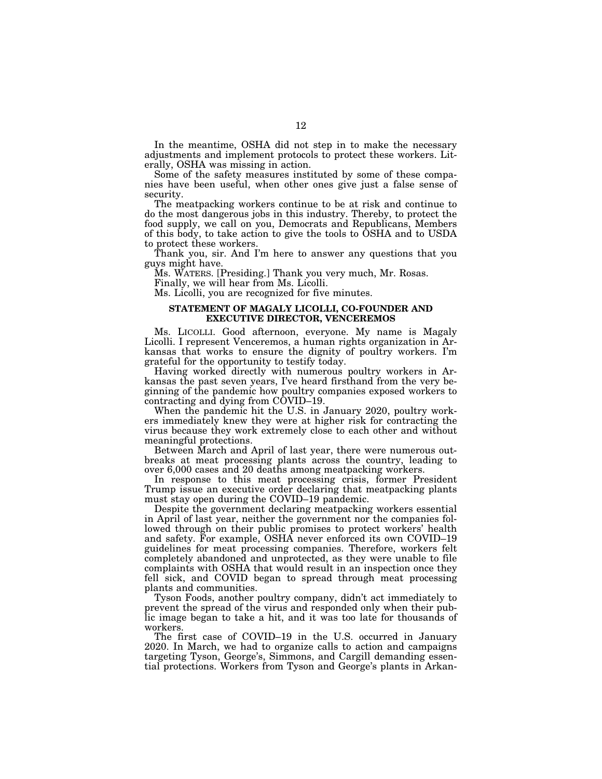In the meantime, OSHA did not step in to make the necessary adjustments and implement protocols to protect these workers. Literally, OSHA was missing in action.

Some of the safety measures instituted by some of these companies have been useful, when other ones give just a false sense of security.

The meatpacking workers continue to be at risk and continue to do the most dangerous jobs in this industry. Thereby, to protect the food supply, we call on you, Democrats and Republicans, Members of this body, to take action to give the tools to OSHA and to USDA to protect these workers.

Thank you, sir. And I'm here to answer any questions that you guys might have.

Ms. WATERS. [Presiding.] Thank you very much, Mr. Rosas.

Finally, we will hear from Ms. Licolli.

Ms. Licolli, you are recognized for five minutes.

### **STATEMENT OF MAGALY LICOLLI, CO-FOUNDER AND EXECUTIVE DIRECTOR, VENCEREMOS**

Ms. LICOLLI. Good afternoon, everyone. My name is Magaly Licolli. I represent Venceremos, a human rights organization in Arkansas that works to ensure the dignity of poultry workers. I'm grateful for the opportunity to testify today.

Having worked directly with numerous poultry workers in Arkansas the past seven years, I've heard firsthand from the very beginning of the pandemic how poultry companies exposed workers to contracting and dying from COVID–19.

When the pandemic hit the U.S. in January 2020, poultry workers immediately knew they were at higher risk for contracting the virus because they work extremely close to each other and without meaningful protections.

Between March and April of last year, there were numerous outbreaks at meat processing plants across the country, leading to over 6,000 cases and 20 deaths among meatpacking workers.

In response to this meat processing crisis, former President Trump issue an executive order declaring that meatpacking plants must stay open during the COVID–19 pandemic.

Despite the government declaring meatpacking workers essential in April of last year, neither the government nor the companies followed through on their public promises to protect workers' health and safety. For example, OSHA never enforced its own COVID–19 guidelines for meat processing companies. Therefore, workers felt completely abandoned and unprotected, as they were unable to file complaints with OSHA that would result in an inspection once they fell sick, and COVID began to spread through meat processing plants and communities.

Tyson Foods, another poultry company, didn't act immediately to prevent the spread of the virus and responded only when their public image began to take a hit, and it was too late for thousands of workers.

The first case of COVID–19 in the U.S. occurred in January 2020. In March, we had to organize calls to action and campaigns targeting Tyson, George's, Simmons, and Cargill demanding essential protections. Workers from Tyson and George's plants in Arkan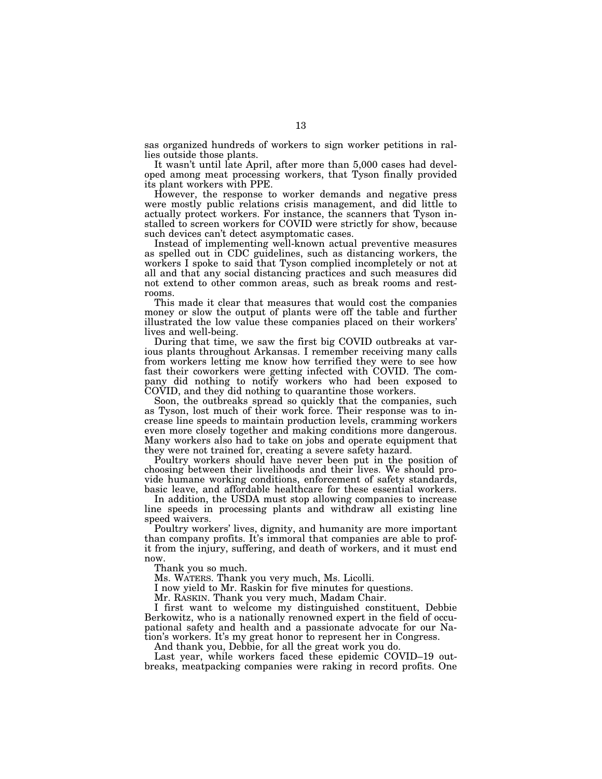sas organized hundreds of workers to sign worker petitions in rallies outside those plants.

It wasn't until late April, after more than 5,000 cases had developed among meat processing workers, that Tyson finally provided its plant workers with PPE.

However, the response to worker demands and negative press were mostly public relations crisis management, and did little to actually protect workers. For instance, the scanners that Tyson installed to screen workers for COVID were strictly for show, because such devices can't detect asymptomatic cases.

Instead of implementing well-known actual preventive measures as spelled out in CDC guidelines, such as distancing workers, the workers I spoke to said that Tyson complied incompletely or not at all and that any social distancing practices and such measures did not extend to other common areas, such as break rooms and restrooms.

This made it clear that measures that would cost the companies money or slow the output of plants were off the table and further illustrated the low value these companies placed on their workers' lives and well-being.

During that time, we saw the first big COVID outbreaks at various plants throughout Arkansas. I remember receiving many calls from workers letting me know how terrified they were to see how fast their coworkers were getting infected with COVID. The company did nothing to notify workers who had been exposed to COVID, and they did nothing to quarantine those workers.

Soon, the outbreaks spread so quickly that the companies, such as Tyson, lost much of their work force. Their response was to increase line speeds to maintain production levels, cramming workers even more closely together and making conditions more dangerous. Many workers also had to take on jobs and operate equipment that they were not trained for, creating a severe safety hazard.

Poultry workers should have never been put in the position of choosing between their livelihoods and their lives. We should provide humane working conditions, enforcement of safety standards, basic leave, and affordable healthcare for these essential workers.

In addition, the USDA must stop allowing companies to increase line speeds in processing plants and withdraw all existing line speed waivers.

Poultry workers' lives, dignity, and humanity are more important than company profits. It's immoral that companies are able to profit from the injury, suffering, and death of workers, and it must end now.

Thank you so much.

Ms. WATERS. Thank you very much, Ms. Licolli.

I now yield to Mr. Raskin for five minutes for questions.

Mr. RASKIN. Thank you very much, Madam Chair.

I first want to welcome my distinguished constituent, Debbie Berkowitz, who is a nationally renowned expert in the field of occupational safety and health and a passionate advocate for our Nation's workers. It's my great honor to represent her in Congress.

And thank you, Debbie, for all the great work you do.

Last year, while workers faced these epidemic COVID–19 outbreaks, meatpacking companies were raking in record profits. One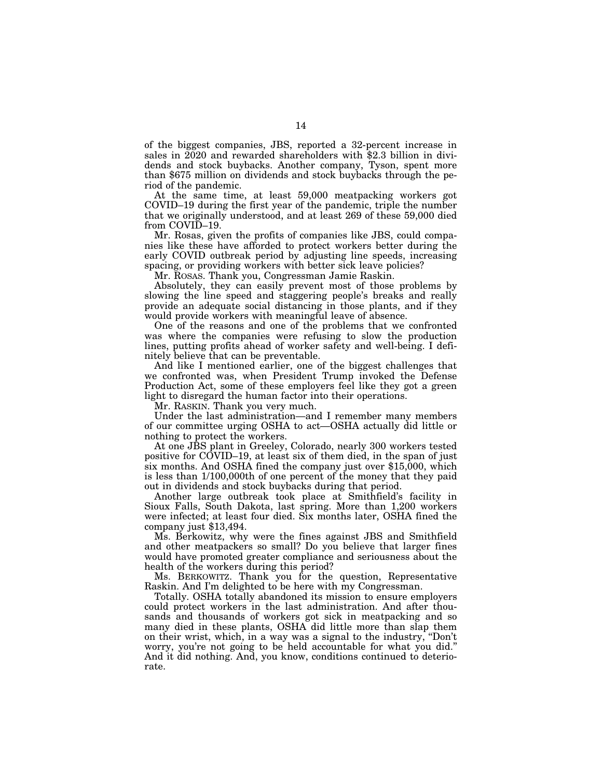of the biggest companies, JBS, reported a 32-percent increase in sales in 2020 and rewarded shareholders with \$2.3 billion in dividends and stock buybacks. Another company, Tyson, spent more than \$675 million on dividends and stock buybacks through the period of the pandemic.

At the same time, at least 59,000 meatpacking workers got COVID–19 during the first year of the pandemic, triple the number that we originally understood, and at least 269 of these 59,000 died from COVID–19.

Mr. Rosas, given the profits of companies like JBS, could companies like these have afforded to protect workers better during the early COVID outbreak period by adjusting line speeds, increasing spacing, or providing workers with better sick leave policies?

Mr. ROSAS. Thank you, Congressman Jamie Raskin.

Absolutely, they can easily prevent most of those problems by slowing the line speed and staggering people's breaks and really provide an adequate social distancing in those plants, and if they would provide workers with meaningful leave of absence.

One of the reasons and one of the problems that we confronted was where the companies were refusing to slow the production lines, putting profits ahead of worker safety and well-being. I definitely believe that can be preventable.

And like I mentioned earlier, one of the biggest challenges that we confronted was, when President Trump invoked the Defense Production Act, some of these employers feel like they got a green light to disregard the human factor into their operations.

Mr. RASKIN. Thank you very much.

Under the last administration—and I remember many members of our committee urging OSHA to act—OSHA actually did little or nothing to protect the workers.

At one JBS plant in Greeley, Colorado, nearly 300 workers tested positive for COVID–19, at least six of them died, in the span of just six months. And OSHA fined the company just over \$15,000, which is less than 1/100,000th of one percent of the money that they paid out in dividends and stock buybacks during that period.

Another large outbreak took place at Smithfield's facility in Sioux Falls, South Dakota, last spring. More than 1,200 workers were infected; at least four died. Six months later, OSHA fined the company just \$13,494.

Ms. Berkowitz, why were the fines against JBS and Smithfield and other meatpackers so small? Do you believe that larger fines would have promoted greater compliance and seriousness about the health of the workers during this period?

Ms. BERKOWITZ. Thank you for the question, Representative Raskin. And I'm delighted to be here with my Congressman.

Totally. OSHA totally abandoned its mission to ensure employers could protect workers in the last administration. And after thousands and thousands of workers got sick in meatpacking and so many died in these plants, OSHA did little more than slap them on their wrist, which, in a way was a signal to the industry, ''Don't worry, you're not going to be held accountable for what you did.'' And it did nothing. And, you know, conditions continued to deteriorate.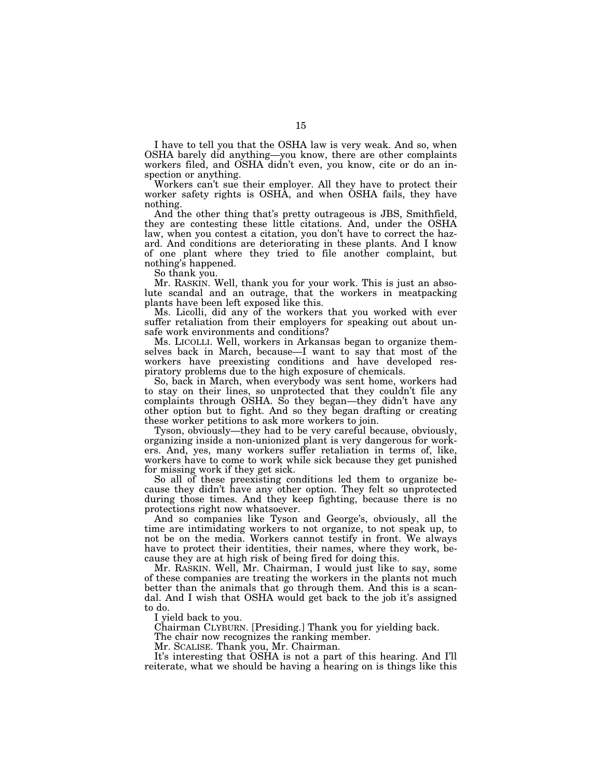I have to tell you that the OSHA law is very weak. And so, when OSHA barely did anything—you know, there are other complaints workers filed, and OSHA didn't even, you know, cite or do an inspection or anything.

Workers can't sue their employer. All they have to protect their worker safety rights is OSHA, and when OSHA fails, they have nothing.

And the other thing that's pretty outrageous is JBS, Smithfield, they are contesting these little citations. And, under the OSHA law, when you contest a citation, you don't have to correct the hazard. And conditions are deteriorating in these plants. And I know of one plant where they tried to file another complaint, but nothing's happened.

So thank you.

Mr. RASKIN. Well, thank you for your work. This is just an absolute scandal and an outrage, that the workers in meatpacking plants have been left exposed like this.

Ms. Licolli, did any of the workers that you worked with ever suffer retaliation from their employers for speaking out about unsafe work environments and conditions?

Ms. LICOLLI. Well, workers in Arkansas began to organize themselves back in March, because—I want to say that most of the workers have preexisting conditions and have developed respiratory problems due to the high exposure of chemicals.

So, back in March, when everybody was sent home, workers had to stay on their lines, so unprotected that they couldn't file any complaints through OSHA. So they began—they didn't have any other option but to fight. And so they began drafting or creating these worker petitions to ask more workers to join.

Tyson, obviously—they had to be very careful because, obviously, organizing inside a non-unionized plant is very dangerous for workers. And, yes, many workers suffer retaliation in terms of, like, workers have to come to work while sick because they get punished for missing work if they get sick.

So all of these preexisting conditions led them to organize because they didn't have any other option. They felt so unprotected during those times. And they keep fighting, because there is no protections right now whatsoever.

And so companies like Tyson and George's, obviously, all the time are intimidating workers to not organize, to not speak up, to not be on the media. Workers cannot testify in front. We always have to protect their identities, their names, where they work, because they are at high risk of being fired for doing this.

Mr. RASKIN. Well, Mr. Chairman, I would just like to say, some of these companies are treating the workers in the plants not much better than the animals that go through them. And this is a scandal. And I wish that OSHA would get back to the job it's assigned to do.

I yield back to you.

Chairman CLYBURN. [Presiding.] Thank you for yielding back.

The chair now recognizes the ranking member.

Mr. SCALISE. Thank you, Mr. Chairman.

It's interesting that OSHA is not a part of this hearing. And I'll reiterate, what we should be having a hearing on is things like this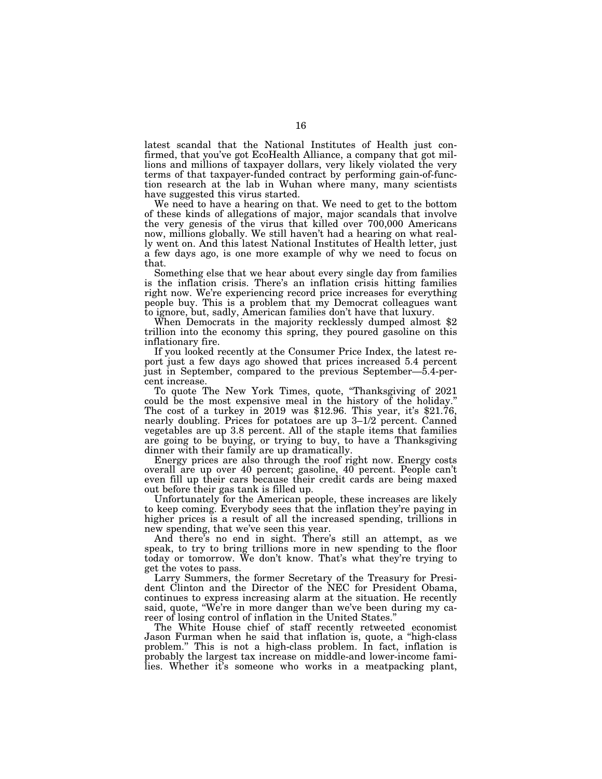latest scandal that the National Institutes of Health just confirmed, that you've got EcoHealth Alliance, a company that got millions and millions of taxpayer dollars, very likely violated the very terms of that taxpayer-funded contract by performing gain-of-function research at the lab in Wuhan where many, many scientists have suggested this virus started.

We need to have a hearing on that. We need to get to the bottom of these kinds of allegations of major, major scandals that involve the very genesis of the virus that killed over 700,000 Americans now, millions globally. We still haven't had a hearing on what really went on. And this latest National Institutes of Health letter, just a few days ago, is one more example of why we need to focus on that.

Something else that we hear about every single day from families is the inflation crisis. There's an inflation crisis hitting families right now. We're experiencing record price increases for everything people buy. This is a problem that my Democrat colleagues want to ignore, but, sadly, American families don't have that luxury.

When Democrats in the majority recklessly dumped almost \$2 trillion into the economy this spring, they poured gasoline on this inflationary fire.

If you looked recently at the Consumer Price Index, the latest report just a few days ago showed that prices increased 5.4 percent just in September, compared to the previous September—5.4-percent increase.

To quote The New York Times, quote, ''Thanksgiving of 2021 could be the most expensive meal in the history of the holiday.'' The cost of a turkey in 2019 was \$12.96. This year, it's \$21.76, nearly doubling. Prices for potatoes are up 3–1/2 percent. Canned vegetables are up 3.8 percent. All of the staple items that families are going to be buying, or trying to buy, to have a Thanksgiving dinner with their family are up dramatically.

Energy prices are also through the roof right now. Energy costs overall are up over 40 percent; gasoline, 40 percent. People can't even fill up their cars because their credit cards are being maxed out before their gas tank is filled up.

Unfortunately for the American people, these increases are likely to keep coming. Everybody sees that the inflation they're paying in higher prices is a result of all the increased spending, trillions in new spending, that we've seen this year.

And there's no end in sight. There's still an attempt, as we speak, to try to bring trillions more in new spending to the floor today or tomorrow. We don't know. That's what they're trying to get the votes to pass.

Larry Summers, the former Secretary of the Treasury for President Clinton and the Director of the NEC for President Obama, continues to express increasing alarm at the situation. He recently said, quote, ''We're in more danger than we've been during my career of losing control of inflation in the United States.''

The White House chief of staff recently retweeted economist Jason Furman when he said that inflation is, quote, a ''high-class problem.'' This is not a high-class problem. In fact, inflation is probably the largest tax increase on middle-and lower-income families. Whether it's someone who works in a meatpacking plant,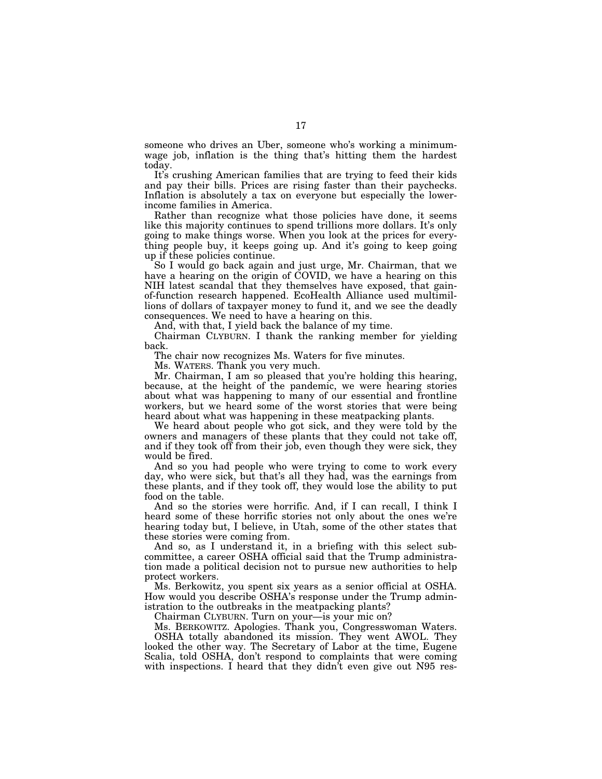someone who drives an Uber, someone who's working a minimumwage job, inflation is the thing that's hitting them the hardest today.

It's crushing American families that are trying to feed their kids and pay their bills. Prices are rising faster than their paychecks. Inflation is absolutely a tax on everyone but especially the lowerincome families in America.

Rather than recognize what those policies have done, it seems like this majority continues to spend trillions more dollars. It's only going to make things worse. When you look at the prices for everything people buy, it keeps going up. And it's going to keep going up if these policies continue.

So I would go back again and just urge, Mr. Chairman, that we have a hearing on the origin of COVID, we have a hearing on this NIH latest scandal that they themselves have exposed, that gainof-function research happened. EcoHealth Alliance used multimillions of dollars of taxpayer money to fund it, and we see the deadly consequences. We need to have a hearing on this.

And, with that, I yield back the balance of my time.

Chairman CLYBURN. I thank the ranking member for yielding back.

The chair now recognizes Ms. Waters for five minutes.

Ms. WATERS. Thank you very much.

Mr. Chairman, I am so pleased that you're holding this hearing, because, at the height of the pandemic, we were hearing stories about what was happening to many of our essential and frontline workers, but we heard some of the worst stories that were being heard about what was happening in these meatpacking plants.

We heard about people who got sick, and they were told by the owners and managers of these plants that they could not take off, and if they took off from their job, even though they were sick, they would be fired.

And so you had people who were trying to come to work every day, who were sick, but that's all they had, was the earnings from these plants, and if they took off, they would lose the ability to put food on the table.

And so the stories were horrific. And, if I can recall, I think I heard some of these horrific stories not only about the ones we're hearing today but, I believe, in Utah, some of the other states that these stories were coming from.

And so, as I understand it, in a briefing with this select subcommittee, a career OSHA official said that the Trump administration made a political decision not to pursue new authorities to help protect workers.

Ms. Berkowitz, you spent six years as a senior official at OSHA. How would you describe OSHA's response under the Trump administration to the outbreaks in the meatpacking plants?

Chairman CLYBURN. Turn on your—is your mic on?

Ms. BERKOWITZ. Apologies. Thank you, Congresswoman Waters. OSHA totally abandoned its mission. They went AWOL. They looked the other way. The Secretary of Labor at the time, Eugene Scalia, told OSHA, don't respond to complaints that were coming with inspections. I heard that they didn't even give out N95 res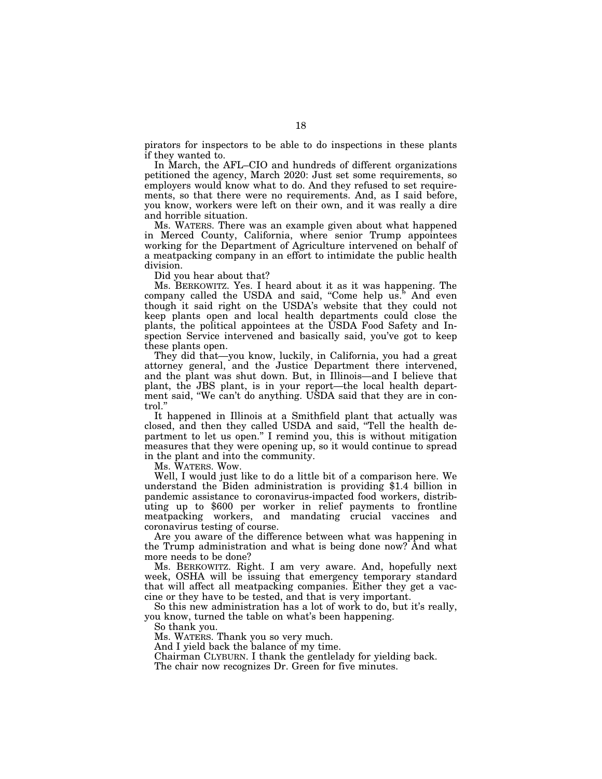pirators for inspectors to be able to do inspections in these plants if they wanted to.

In March, the AFL–CIO and hundreds of different organizations petitioned the agency, March 2020: Just set some requirements, so employers would know what to do. And they refused to set requirements, so that there were no requirements. And, as I said before, you know, workers were left on their own, and it was really a dire and horrible situation.

Ms. WATERS. There was an example given about what happened in Merced County, California, where senior Trump appointees working for the Department of Agriculture intervened on behalf of a meatpacking company in an effort to intimidate the public health division.

Did you hear about that?

Ms. BERKOWITZ. Yes. I heard about it as it was happening. The company called the USDA and said, ''Come help us.'' And even though it said right on the USDA's website that they could not keep plants open and local health departments could close the plants, the political appointees at the USDA Food Safety and Inspection Service intervened and basically said, you've got to keep these plants open.

They did that—you know, luckily, in California, you had a great attorney general, and the Justice Department there intervened, and the plant was shut down. But, in Illinois—and I believe that plant, the JBS plant, is in your report—the local health department said, "We can't do anything. USDA said that they are in control.''

It happened in Illinois at a Smithfield plant that actually was closed, and then they called USDA and said, ''Tell the health department to let us open.'' I remind you, this is without mitigation measures that they were opening up, so it would continue to spread in the plant and into the community.

Ms. WATERS. Wow.

Well, I would just like to do a little bit of a comparison here. We understand the Biden administration is providing \$1.4 billion in pandemic assistance to coronavirus-impacted food workers, distributing up to \$600 per worker in relief payments to frontline meatpacking workers, and mandating crucial vaccines and coronavirus testing of course.

Are you aware of the difference between what was happening in the Trump administration and what is being done now? And what more needs to be done?

Ms. BERKOWITZ. Right. I am very aware. And, hopefully next week, OSHA will be issuing that emergency temporary standard that will affect all meatpacking companies. Either they get a vaccine or they have to be tested, and that is very important.

So this new administration has a lot of work to do, but it's really, you know, turned the table on what's been happening.

So thank you.

Ms. WATERS. Thank you so very much.

And I yield back the balance of my time.

Chairman CLYBURN. I thank the gentlelady for yielding back.

The chair now recognizes Dr. Green for five minutes.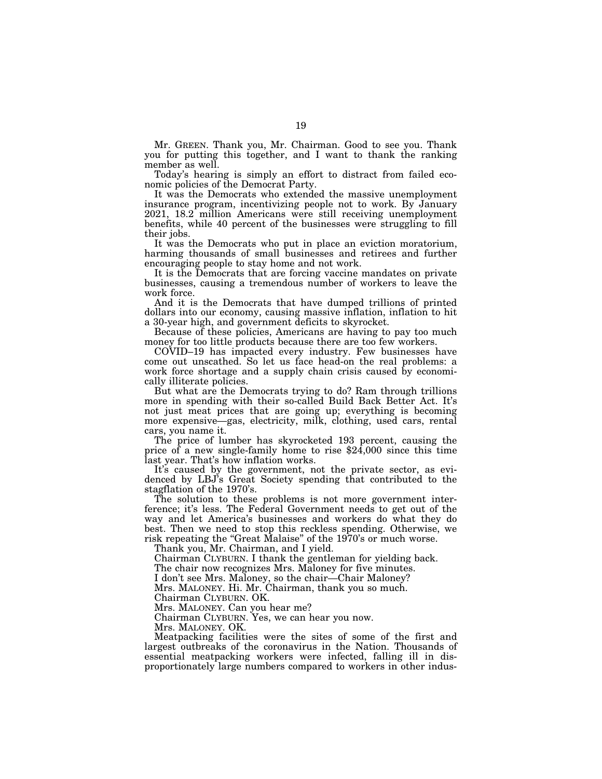Mr. GREEN. Thank you, Mr. Chairman. Good to see you. Thank you for putting this together, and I want to thank the ranking member as well.

Today's hearing is simply an effort to distract from failed economic policies of the Democrat Party.

It was the Democrats who extended the massive unemployment insurance program, incentivizing people not to work. By January 2021, 18.2 million Americans were still receiving unemployment benefits, while 40 percent of the businesses were struggling to fill their jobs.

It was the Democrats who put in place an eviction moratorium, harming thousands of small businesses and retirees and further encouraging people to stay home and not work.

It is the Democrats that are forcing vaccine mandates on private businesses, causing a tremendous number of workers to leave the work force.

And it is the Democrats that have dumped trillions of printed dollars into our economy, causing massive inflation, inflation to hit a 30-year high, and government deficits to skyrocket.

Because of these policies, Americans are having to pay too much money for too little products because there are too few workers.

COVID–19 has impacted every industry. Few businesses have come out unscathed. So let us face head-on the real problems: a work force shortage and a supply chain crisis caused by economically illiterate policies.

But what are the Democrats trying to do? Ram through trillions more in spending with their so-called Build Back Better Act. It's not just meat prices that are going up; everything is becoming more expensive—gas, electricity, milk, clothing, used cars, rental

cars, you name it. price of a new single-family home to rise  $$24,000$  since this time last year. That's how inflation works.

It's caused by the government, not the private sector, as evidenced by LBJ's Great Society spending that contributed to the stagflation of the 1970's.

The solution to these problems is not more government interference; it's less. The Federal Government needs to get out of the way and let America's businesses and workers do what they do best. Then we need to stop this reckless spending. Otherwise, we risk repeating the "Great Malaise" of the 1970's or much worse.

Thank you, Mr. Chairman, and I yield.

Chairman CLYBURN. I thank the gentleman for yielding back.

The chair now recognizes Mrs. Maloney for five minutes.

I don't see Mrs. Maloney, so the chair—Chair Maloney?

Mrs. MALONEY. Hi. Mr. Chairman, thank you so much.

Chairman CLYBURN. OK.

Mrs. MALONEY. Can you hear me?

Chairman CLYBURN. Yes, we can hear you now.

Mrs. MALONEY. OK.

Meatpacking facilities were the sites of some of the first and largest outbreaks of the coronavirus in the Nation. Thousands of essential meatpacking workers were infected, falling ill in disproportionately large numbers compared to workers in other indus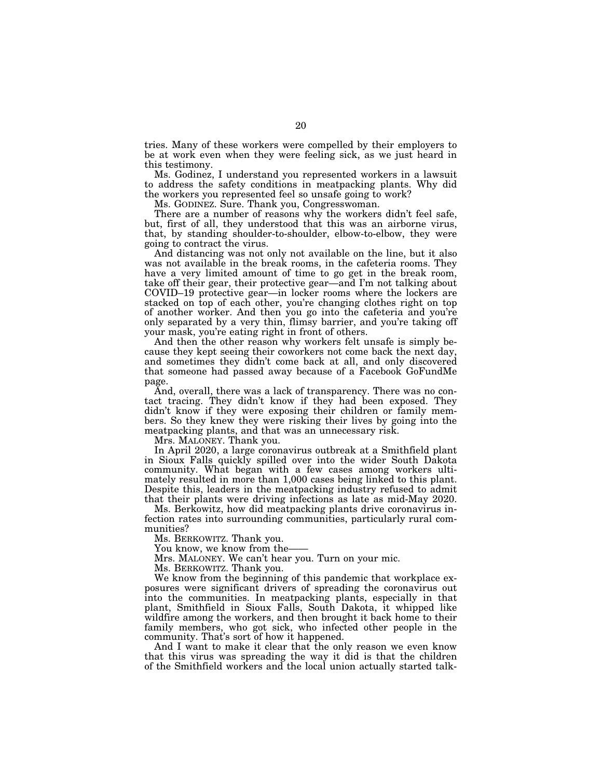tries. Many of these workers were compelled by their employers to be at work even when they were feeling sick, as we just heard in this testimony.

Ms. Godinez, I understand you represented workers in a lawsuit to address the safety conditions in meatpacking plants. Why did the workers you represented feel so unsafe going to work?

Ms. GODINEZ. Sure. Thank you, Congresswoman.

There are a number of reasons why the workers didn't feel safe, but, first of all, they understood that this was an airborne virus, that, by standing shoulder-to-shoulder, elbow-to-elbow, they were going to contract the virus.

And distancing was not only not available on the line, but it also was not available in the break rooms, in the cafeteria rooms. They have a very limited amount of time to go get in the break room, take off their gear, their protective gear—and I'm not talking about COVID–19 protective gear—in locker rooms where the lockers are stacked on top of each other, you're changing clothes right on top of another worker. And then you go into the cafeteria and you're only separated by a very thin, flimsy barrier, and you're taking off your mask, you're eating right in front of others.

And then the other reason why workers felt unsafe is simply because they kept seeing their coworkers not come back the next day, and sometimes they didn't come back at all, and only discovered that someone had passed away because of a Facebook GoFundMe page.

And, overall, there was a lack of transparency. There was no contact tracing. They didn't know if they had been exposed. They didn't know if they were exposing their children or family members. So they knew they were risking their lives by going into the meatpacking plants, and that was an unnecessary risk.

Mrs. MALONEY. Thank you.

In April 2020, a large coronavirus outbreak at a Smithfield plant in Sioux Falls quickly spilled over into the wider South Dakota community. What began with a few cases among workers ultimately resulted in more than 1,000 cases being linked to this plant. Despite this, leaders in the meatpacking industry refused to admit that their plants were driving infections as late as mid-May 2020.

Ms. Berkowitz, how did meatpacking plants drive coronavirus infection rates into surrounding communities, particularly rural communities?

Ms. BERKOWITZ. Thank you.

You know, we know from the-

Mrs. MALONEY. We can't hear you. Turn on your mic.

Ms. BERKOWITZ. Thank you.

We know from the beginning of this pandemic that workplace exposures were significant drivers of spreading the coronavirus out into the communities. In meatpacking plants, especially in that plant, Smithfield in Sioux Falls, South Dakota, it whipped like wildfire among the workers, and then brought it back home to their family members, who got sick, who infected other people in the community. That's sort of how it happened.

And I want to make it clear that the only reason we even know that this virus was spreading the way it did is that the children of the Smithfield workers and the local union actually started talk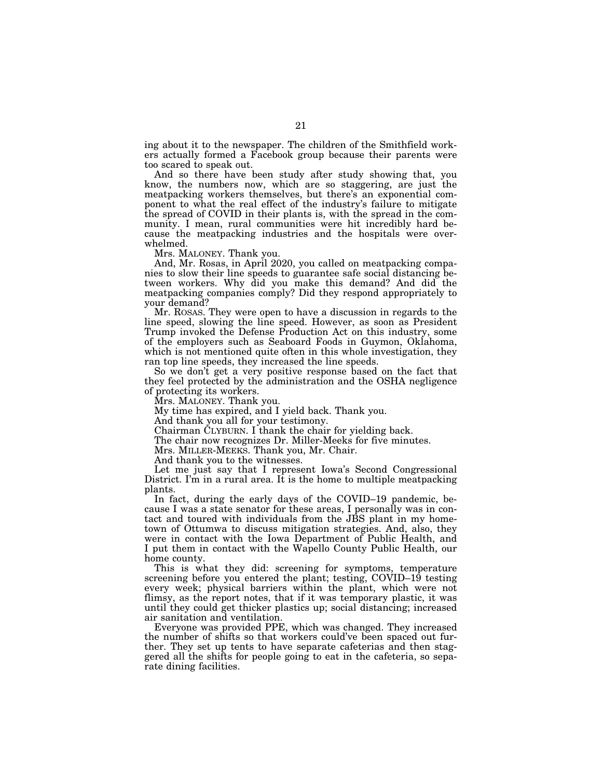ing about it to the newspaper. The children of the Smithfield workers actually formed a Facebook group because their parents were too scared to speak out.

And so there have been study after study showing that, you know, the numbers now, which are so staggering, are just the meatpacking workers themselves, but there's an exponential component to what the real effect of the industry's failure to mitigate the spread of COVID in their plants is, with the spread in the community. I mean, rural communities were hit incredibly hard because the meatpacking industries and the hospitals were overwhelmed.

Mrs. MALONEY. Thank you.

And, Mr. Rosas, in April 2020, you called on meatpacking companies to slow their line speeds to guarantee safe social distancing between workers. Why did you make this demand? And did the meatpacking companies comply? Did they respond appropriately to your demand?

Mr. ROSAS. They were open to have a discussion in regards to the line speed, slowing the line speed. However, as soon as President Trump invoked the Defense Production Act on this industry, some of the employers such as Seaboard Foods in Guymon, Oklahoma, which is not mentioned quite often in this whole investigation, they ran top line speeds, they increased the line speeds.

So we don't get a very positive response based on the fact that they feel protected by the administration and the OSHA negligence of protecting its workers.

Mrs. MALONEY. Thank you.

My time has expired, and I yield back. Thank you.

And thank you all for your testimony.

Chairman CLYBURN. I thank the chair for yielding back.

The chair now recognizes Dr. Miller-Meeks for five minutes.

Mrs. MILLER-MEEKS. Thank you, Mr. Chair.

And thank you to the witnesses.

Let me just say that I represent Iowa's Second Congressional District. I'm in a rural area. It is the home to multiple meatpacking plants.

In fact, during the early days of the COVID–19 pandemic, because I was a state senator for these areas, I personally was in contact and toured with individuals from the JBS plant in my hometown of Ottumwa to discuss mitigation strategies. And, also, they were in contact with the Iowa Department of Public Health, and I put them in contact with the Wapello County Public Health, our home county.

This is what they did: screening for symptoms, temperature screening before you entered the plant; testing, COVID–19 testing every week; physical barriers within the plant, which were not flimsy, as the report notes, that if it was temporary plastic, it was until they could get thicker plastics up; social distancing; increased air sanitation and ventilation.

Everyone was provided PPE, which was changed. They increased the number of shifts so that workers could've been spaced out further. They set up tents to have separate cafeterias and then staggered all the shifts for people going to eat in the cafeteria, so separate dining facilities.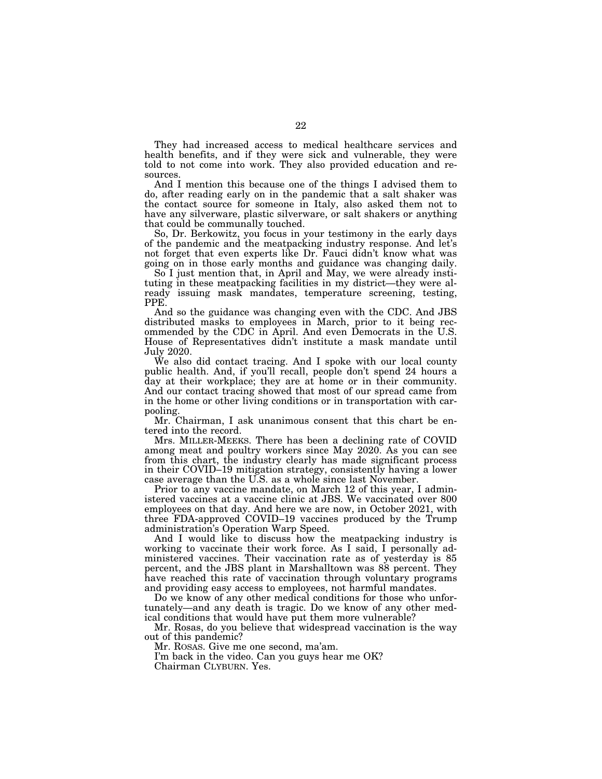They had increased access to medical healthcare services and health benefits, and if they were sick and vulnerable, they were told to not come into work. They also provided education and resources.

And I mention this because one of the things I advised them to do, after reading early on in the pandemic that a salt shaker was the contact source for someone in Italy, also asked them not to have any silverware, plastic silverware, or salt shakers or anything that could be communally touched.

So, Dr. Berkowitz, you focus in your testimony in the early days of the pandemic and the meatpacking industry response. And let's not forget that even experts like Dr. Fauci didn't know what was going on in those early months and guidance was changing daily.

So I just mention that, in April and May, we were already instituting in these meatpacking facilities in my district—they were already issuing mask mandates, temperature screening, testing, PPE.

And so the guidance was changing even with the CDC. And JBS distributed masks to employees in March, prior to it being recommended by the CDC in April. And even Democrats in the U.S. House of Representatives didn't institute a mask mandate until July 2020.

We also did contact tracing. And I spoke with our local county public health. And, if you'll recall, people don't spend 24 hours a day at their workplace; they are at home or in their community. And our contact tracing showed that most of our spread came from in the home or other living conditions or in transportation with carpooling.

Mr. Chairman, I ask unanimous consent that this chart be entered into the record.

Mrs. MILLER-MEEKS. There has been a declining rate of COVID among meat and poultry workers since May 2020. As you can see from this chart, the industry clearly has made significant process in their COVID–19 mitigation strategy, consistently having a lower case average than the U.S. as a whole since last November.

Prior to any vaccine mandate, on March 12 of this year, I administered vaccines at a vaccine clinic at JBS. We vaccinated over 800 employees on that day. And here we are now, in October 2021, with three FDA-approved COVID–19 vaccines produced by the Trump administration's Operation Warp Speed.

And I would like to discuss how the meatpacking industry is working to vaccinate their work force. As I said, I personally administered vaccines. Their vaccination rate as of yesterday is 85 percent, and the JBS plant in Marshalltown was 88 percent. They have reached this rate of vaccination through voluntary programs and providing easy access to employees, not harmful mandates.

Do we know of any other medical conditions for those who unfortunately—and any death is tragic. Do we know of any other medical conditions that would have put them more vulnerable?

Mr. Rosas, do you believe that widespread vaccination is the way out of this pandemic?

Mr. ROSAS. Give me one second, ma'am.

I'm back in the video. Can you guys hear me OK? Chairman CLYBURN. Yes.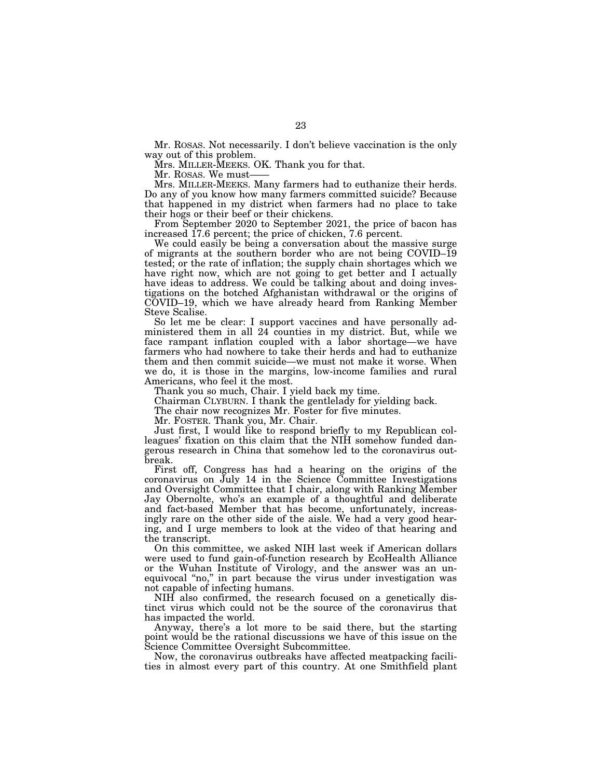Mr. ROSAS. Not necessarily. I don't believe vaccination is the only way out of this problem.

Mrs. MILLER-MEEKS. OK. Thank you for that.

Mr. ROSAS. We must-

Mrs. MILLER-MEEKS. Many farmers had to euthanize their herds. Do any of you know how many farmers committed suicide? Because that happened in my district when farmers had no place to take their hogs or their beef or their chickens.

From September 2020 to September 2021, the price of bacon has increased 17.6 percent; the price of chicken, 7.6 percent.

We could easily be being a conversation about the massive surge of migrants at the southern border who are not being COVID–19 tested; or the rate of inflation; the supply chain shortages which we have right now, which are not going to get better and I actually have ideas to address. We could be talking about and doing investigations on the botched Afghanistan withdrawal or the origins of COVID–19, which we have already heard from Ranking Member Steve Scalise.

So let me be clear: I support vaccines and have personally administered them in all 24 counties in my district. But, while we face rampant inflation coupled with a labor shortage—we have farmers who had nowhere to take their herds and had to euthanize them and then commit suicide—we must not make it worse. When we do, it is those in the margins, low-income families and rural Americans, who feel it the most.

Thank you so much, Chair. I yield back my time.

Chairman CLYBURN. I thank the gentlelady for yielding back.

The chair now recognizes Mr. Foster for five minutes.

Mr. FOSTER. Thank you, Mr. Chair.

Just first, I would like to respond briefly to my Republican colleagues' fixation on this claim that the NIH somehow funded dangerous research in China that somehow led to the coronavirus outbreak.

First off, Congress has had a hearing on the origins of the coronavirus on July 14 in the Science Committee Investigations and Oversight Committee that I chair, along with Ranking Member Jay Obernolte, who's an example of a thoughtful and deliberate and fact-based Member that has become, unfortunately, increasingly rare on the other side of the aisle. We had a very good hearing, and I urge members to look at the video of that hearing and the transcript.

On this committee, we asked NIH last week if American dollars were used to fund gain-of-function research by EcoHealth Alliance or the Wuhan Institute of Virology, and the answer was an unequivocal "no," in part because the virus under investigation was not capable of infecting humans.

NIH also confirmed, the research focused on a genetically distinct virus which could not be the source of the coronavirus that has impacted the world.

Anyway, there's a lot more to be said there, but the starting point would be the rational discussions we have of this issue on the Science Committee Oversight Subcommittee.

Now, the coronavirus outbreaks have affected meatpacking facilities in almost every part of this country. At one Smithfield plant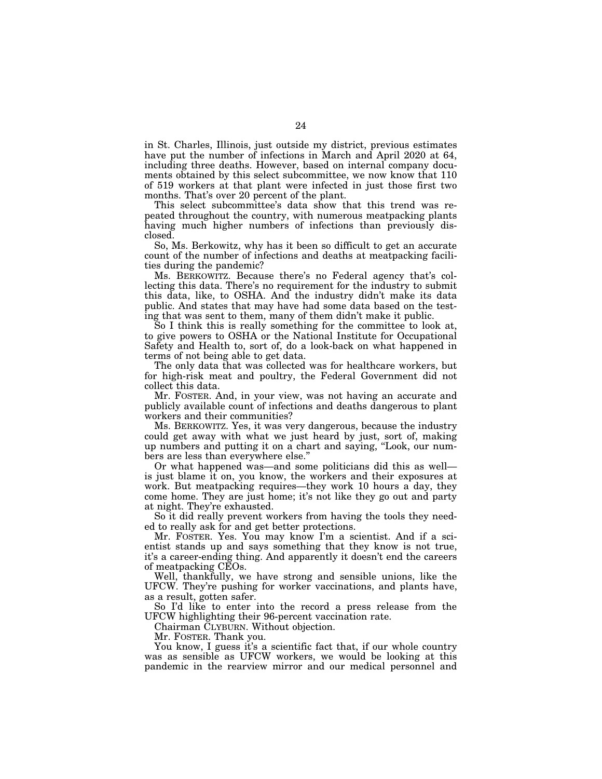in St. Charles, Illinois, just outside my district, previous estimates have put the number of infections in March and April 2020 at 64, including three deaths. However, based on internal company documents obtained by this select subcommittee, we now know that 110 of 519 workers at that plant were infected in just those first two months. That's over 20 percent of the plant.

This select subcommittee's data show that this trend was repeated throughout the country, with numerous meatpacking plants having much higher numbers of infections than previously disclosed.

So, Ms. Berkowitz, why has it been so difficult to get an accurate count of the number of infections and deaths at meatpacking facilities during the pandemic?

Ms. BERKOWITZ. Because there's no Federal agency that's collecting this data. There's no requirement for the industry to submit this data, like, to OSHA. And the industry didn't make its data public. And states that may have had some data based on the testing that was sent to them, many of them didn't make it public.

So I think this is really something for the committee to look at, to give powers to OSHA or the National Institute for Occupational Safety and Health to, sort of, do a look-back on what happened in terms of not being able to get data.

The only data that was collected was for healthcare workers, but for high-risk meat and poultry, the Federal Government did not collect this data.

Mr. FOSTER. And, in your view, was not having an accurate and publicly available count of infections and deaths dangerous to plant workers and their communities?

Ms. BERKOWITZ. Yes, it was very dangerous, because the industry could get away with what we just heard by just, sort of, making up numbers and putting it on a chart and saying, ''Look, our numbers are less than everywhere else.''

Or what happened was—and some politicians did this as well is just blame it on, you know, the workers and their exposures at work. But meatpacking requires—they work 10 hours a day, they come home. They are just home; it's not like they go out and party at night. They're exhausted.

So it did really prevent workers from having the tools they needed to really ask for and get better protections.

Mr. FOSTER. Yes. You may know I'm a scientist. And if a scientist stands up and says something that they know is not true, it's a career-ending thing. And apparently it doesn't end the careers of meatpacking CEOs.

Well, thankfully, we have strong and sensible unions, like the UFCW. They're pushing for worker vaccinations, and plants have, as a result, gotten safer.

So I'd like to enter into the record a press release from the UFCW highlighting their 96-percent vaccination rate.

Chairman CLYBURN. Without objection.

Mr. FOSTER. Thank you.

You know, I guess it's a scientific fact that, if our whole country was as sensible as UFCW workers, we would be looking at this pandemic in the rearview mirror and our medical personnel and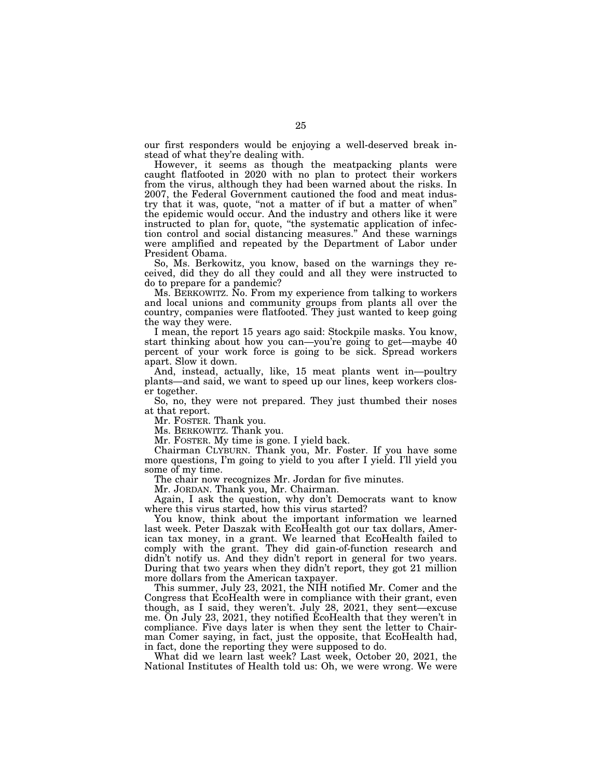our first responders would be enjoying a well-deserved break instead of what they're dealing with.

However, it seems as though the meatpacking plants were caught flatfooted in 2020 with no plan to protect their workers from the virus, although they had been warned about the risks. In 2007, the Federal Government cautioned the food and meat industry that it was, quote, "not a matter of if but a matter of when" the epidemic would occur. And the industry and others like it were instructed to plan for, quote, ''the systematic application of infection control and social distancing measures.'' And these warnings were amplified and repeated by the Department of Labor under President Obama.

So, Ms. Berkowitz, you know, based on the warnings they received, did they do all they could and all they were instructed to do to prepare for a pandemic?

Ms. BERKOWITZ. No. From my experience from talking to workers and local unions and community groups from plants all over the country, companies were flatfooted. They just wanted to keep going the way they were.

I mean, the report 15 years ago said: Stockpile masks. You know, start thinking about how you can—you're going to get—maybe 40 percent of your work force is going to be sick. Spread workers apart. Slow it down.

And, instead, actually, like, 15 meat plants went in—poultry plants—and said, we want to speed up our lines, keep workers closer together.

So, no, they were not prepared. They just thumbed their noses at that report.

Mr. FOSTER. Thank you.

Ms. BERKOWITZ. Thank you.

Mr. FOSTER. My time is gone. I yield back.

Chairman CLYBURN. Thank you, Mr. Foster. If you have some more questions, I'm going to yield to you after I yield. I'll yield you some of my time.

The chair now recognizes Mr. Jordan for five minutes.

Mr. JORDAN. Thank you, Mr. Chairman.

Again, I ask the question, why don't Democrats want to know where this virus started, how this virus started?

You know, think about the important information we learned last week. Peter Daszak with EcoHealth got our tax dollars, American tax money, in a grant. We learned that EcoHealth failed to comply with the grant. They did gain-of-function research and didn't notify us. And they didn't report in general for two years. During that two years when they didn't report, they got 21 million more dollars from the American taxpayer.

This summer, July 23, 2021, the NIH notified Mr. Comer and the Congress that EcoHealth were in compliance with their grant, even though, as I said, they weren't. July 28, 2021, they sent—excuse me. On July 23, 2021, they notified EcoHealth that they weren't in compliance. Five days later is when they sent the letter to Chairman Comer saying, in fact, just the opposite, that EcoHealth had, in fact, done the reporting they were supposed to do.

What did we learn last week? Last week, October 20, 2021, the National Institutes of Health told us: Oh, we were wrong. We were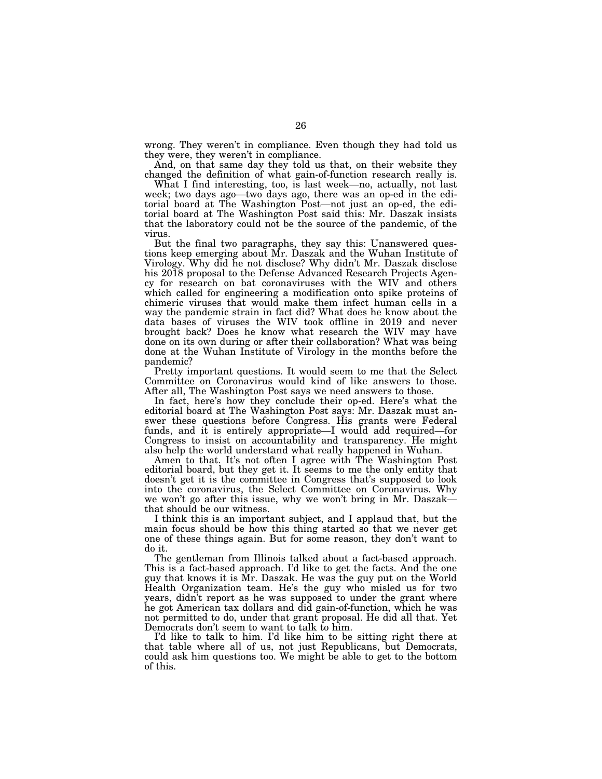wrong. They weren't in compliance. Even though they had told us they were, they weren't in compliance.

And, on that same day they told us that, on their website they changed the definition of what gain-of-function research really is.

What I find interesting, too, is last week—no, actually, not last week; two days ago—two days ago, there was an op-ed in the editorial board at The Washington Post—not just an op-ed, the editorial board at The Washington Post said this: Mr. Daszak insists that the laboratory could not be the source of the pandemic, of the virus.

But the final two paragraphs, they say this: Unanswered questions keep emerging about Mr. Daszak and the Wuhan Institute of Virology. Why did he not disclose? Why didn't Mr. Daszak disclose his 2018 proposal to the Defense Advanced Research Projects Agency for research on bat coronaviruses with the WIV and others which called for engineering a modification onto spike proteins of chimeric viruses that would make them infect human cells in a way the pandemic strain in fact did? What does he know about the data bases of viruses the WIV took offline in 2019 and never brought back? Does he know what research the WIV may have done on its own during or after their collaboration? What was being done at the Wuhan Institute of Virology in the months before the pandemic?

Pretty important questions. It would seem to me that the Select Committee on Coronavirus would kind of like answers to those. After all, The Washington Post says we need answers to those.

In fact, here's how they conclude their op-ed. Here's what the editorial board at The Washington Post says: Mr. Daszak must answer these questions before Congress. His grants were Federal funds, and it is entirely appropriate—I would add required—for Congress to insist on accountability and transparency. He might also help the world understand what really happened in Wuhan.

Amen to that. It's not often I agree with The Washington Post editorial board, but they get it. It seems to me the only entity that doesn't get it is the committee in Congress that's supposed to look into the coronavirus, the Select Committee on Coronavirus. Why we won't go after this issue, why we won't bring in Mr. Daszak that should be our witness.

I think this is an important subject, and I applaud that, but the main focus should be how this thing started so that we never get one of these things again. But for some reason, they don't want to do it.

The gentleman from Illinois talked about a fact-based approach. This is a fact-based approach. I'd like to get the facts. And the one guy that knows it is Mr. Daszak. He was the guy put on the World Health Organization team. He's the guy who misled us for two years, didn't report as he was supposed to under the grant where he got American tax dollars and did gain-of-function, which he was not permitted to do, under that grant proposal. He did all that. Yet Democrats don't seem to want to talk to him.

I'd like to talk to him. I'd like him to be sitting right there at that table where all of us, not just Republicans, but Democrats, could ask him questions too. We might be able to get to the bottom of this.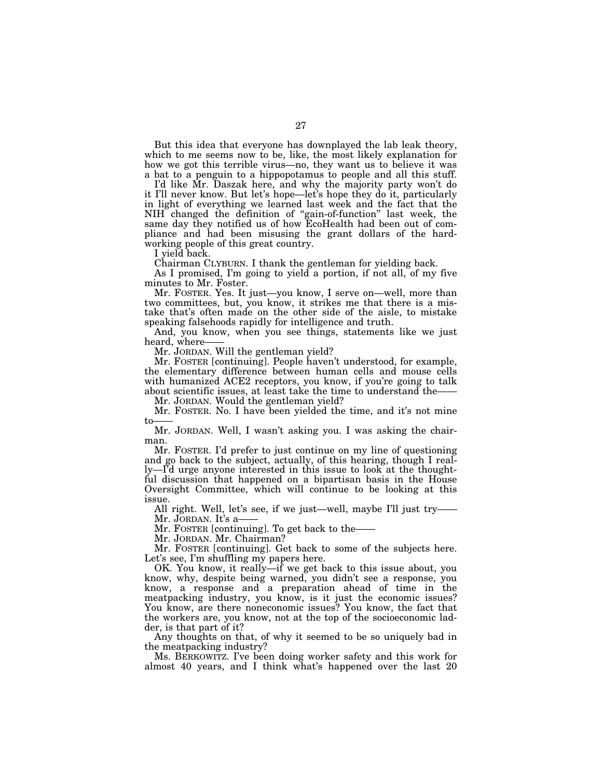But this idea that everyone has downplayed the lab leak theory, which to me seems now to be, like, the most likely explanation for how we got this terrible virus—no, they want us to believe it was a bat to a penguin to a hippopotamus to people and all this stuff.

I'd like Mr. Daszak here, and why the majority party won't do it I'll never know. But let's hope—let's hope they do it, particularly in light of everything we learned last week and the fact that the NIH changed the definition of ''gain-of-function'' last week, the same day they notified us of how EcoHealth had been out of compliance and had been misusing the grant dollars of the hardworking people of this great country.

I yield back.

Chairman CLYBURN. I thank the gentleman for yielding back.

As I promised, I'm going to yield a portion, if not all, of my five minutes to Mr. Foster.

Mr. FOSTER. Yes. It just—you know, I serve on—well, more than two committees, but, you know, it strikes me that there is a mistake that's often made on the other side of the aisle, to mistake speaking falsehoods rapidly for intelligence and truth.

And, you know, when you see things, statements like we just heard, where-

Mr. JORDAN. Will the gentleman yield?

Mr. FOSTER [continuing]. People haven't understood, for example, the elementary difference between human cells and mouse cells with humanized ACE2 receptors, you know, if you're going to talk about scientific issues, at least take the time to understand the——

Mr. JORDAN. Would the gentleman yield?

Mr. FOSTER. No. I have been yielded the time, and it's not mine to-

Mr. JORDAN. Well, I wasn't asking you. I was asking the chairman.

Mr. FOSTER. I'd prefer to just continue on my line of questioning and go back to the subject, actually, of this hearing, though I really—I'd urge anyone interested in this issue to look at the thoughtful discussion that happened on a bipartisan basis in the House Oversight Committee, which will continue to be looking at this issue.

All right. Well, let's see, if we just—well, maybe I'll just try—— Mr. JORDAN. It's a-

Mr. FOSTER [continuing]. To get back to the—

Mr. JORDAN. Mr. Chairman?

Mr. FOSTER [continuing]. Get back to some of the subjects here. Let's see, I'm shuffling my papers here.

OK. You know, it really—if we get back to this issue about, you know, why, despite being warned, you didn't see a response, you know, a response and a preparation ahead of time in the meatpacking industry, you know, is it just the economic issues? You know, are there noneconomic issues? You know, the fact that the workers are, you know, not at the top of the socioeconomic ladder, is that part of it?

Any thoughts on that, of why it seemed to be so uniquely bad in the meatpacking industry?

Ms. BERKOWITZ. I've been doing worker safety and this work for almost 40 years, and I think what's happened over the last 20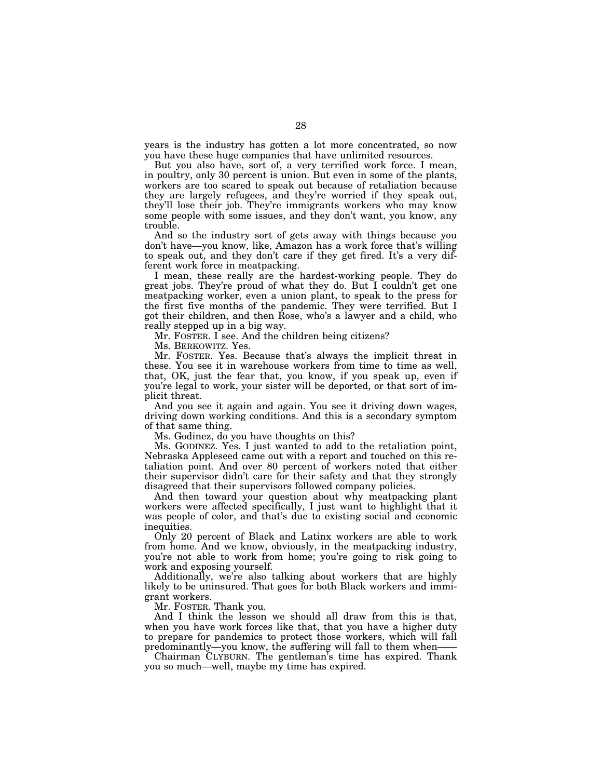years is the industry has gotten a lot more concentrated, so now you have these huge companies that have unlimited resources.

But you also have, sort of, a very terrified work force. I mean, in poultry, only 30 percent is union. But even in some of the plants, workers are too scared to speak out because of retaliation because they are largely refugees, and they're worried if they speak out, they'll lose their job. They're immigrants workers who may know some people with some issues, and they don't want, you know, any trouble.

And so the industry sort of gets away with things because you don't have—you know, like, Amazon has a work force that's willing to speak out, and they don't care if they get fired. It's a very different work force in meatpacking.

I mean, these really are the hardest-working people. They do great jobs. They're proud of what they do. But I couldn't get one meatpacking worker, even a union plant, to speak to the press for the first five months of the pandemic. They were terrified. But I got their children, and then Rose, who's a lawyer and a child, who really stepped up in a big way.

Mr. FOSTER. I see. And the children being citizens?

Ms. BERKOWITZ. Yes.

Mr. FOSTER. Yes. Because that's always the implicit threat in these. You see it in warehouse workers from time to time as well, that, OK, just the fear that, you know, if you speak up, even if you're legal to work, your sister will be deported, or that sort of implicit threat.

And you see it again and again. You see it driving down wages, driving down working conditions. And this is a secondary symptom of that same thing.

Ms. Godinez, do you have thoughts on this?

Ms. GODINEZ. Yes. I just wanted to add to the retaliation point, Nebraska Appleseed came out with a report and touched on this retaliation point. And over 80 percent of workers noted that either their supervisor didn't care for their safety and that they strongly disagreed that their supervisors followed company policies.

And then toward your question about why meatpacking plant workers were affected specifically, I just want to highlight that it was people of color, and that's due to existing social and economic inequities.

Only 20 percent of Black and Latinx workers are able to work from home. And we know, obviously, in the meatpacking industry, you're not able to work from home; you're going to risk going to work and exposing yourself.

Additionally, we're also talking about workers that are highly likely to be uninsured. That goes for both Black workers and immigrant workers.

Mr. FOSTER. Thank you.

And I think the lesson we should all draw from this is that, when you have work forces like that, that you have a higher duty to prepare for pandemics to protect those workers, which will fall predominantly—you know, the suffering will fall to them when——

Chairman CLYBURN. The gentleman's time has expired. Thank you so much—well, maybe my time has expired.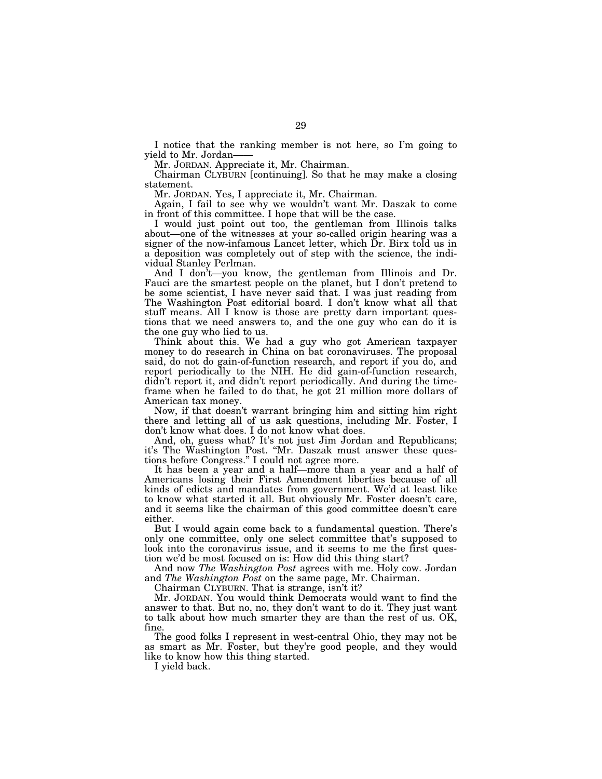I notice that the ranking member is not here, so I'm going to yield to Mr. Jordan-

Mr. JORDAN. Appreciate it, Mr. Chairman.

Chairman CLYBURN [continuing]. So that he may make a closing statement.

Mr. JORDAN. Yes, I appreciate it, Mr. Chairman.

Again, I fail to see why we wouldn't want Mr. Daszak to come in front of this committee. I hope that will be the case.

I would just point out too, the gentleman from Illinois talks about—one of the witnesses at your so-called origin hearing was a signer of the now-infamous Lancet letter, which Dr. Birx told us in a deposition was completely out of step with the science, the individual Stanley Perlman.

And I don't—you know, the gentleman from Illinois and Dr. Fauci are the smartest people on the planet, but I don't pretend to be some scientist, I have never said that. I was just reading from The Washington Post editorial board. I don't know what all that stuff means. All I know is those are pretty darn important questions that we need answers to, and the one guy who can do it is the one guy who lied to us.

Think about this. We had a guy who got American taxpayer money to do research in China on bat coronaviruses. The proposal said, do not do gain-of-function research, and report if you do, and report periodically to the NIH. He did gain-of-function research, didn't report it, and didn't report periodically. And during the timeframe when he failed to do that, he got 21 million more dollars of American tax money.

Now, if that doesn't warrant bringing him and sitting him right there and letting all of us ask questions, including Mr. Foster, I don't know what does. I do not know what does.

And, oh, guess what? It's not just Jim Jordan and Republicans; it's The Washington Post. ''Mr. Daszak must answer these questions before Congress.'' I could not agree more.

It has been a year and a half—more than a year and a half of Americans losing their First Amendment liberties because of all kinds of edicts and mandates from government. We'd at least like to know what started it all. But obviously Mr. Foster doesn't care, and it seems like the chairman of this good committee doesn't care either.

But I would again come back to a fundamental question. There's only one committee, only one select committee that's supposed to look into the coronavirus issue, and it seems to me the first question we'd be most focused on is: How did this thing start?

And now *The Washington Post* agrees with me. Holy cow. Jordan and *The Washington Post* on the same page, Mr. Chairman.

Chairman CLYBURN. That is strange, isn't it?

Mr. JORDAN. You would think Democrats would want to find the answer to that. But no, no, they don't want to do it. They just want to talk about how much smarter they are than the rest of us. OK, fine.

The good folks I represent in west-central Ohio, they may not be as smart as Mr. Foster, but they're good people, and they would like to know how this thing started.

I yield back.